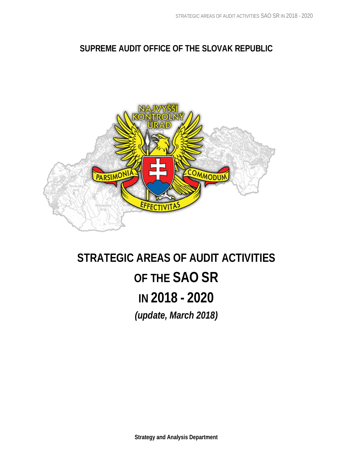# **SUPREME AUDIT OFFICE OF THE SLOVAK REPUBLIC**



# **STRATEGIC AREAS OF AUDIT ACTIVITIES OF THE SAO SR IN 2018 - 2020** *(update, March 2018)*

**Strategy and Analysis Department**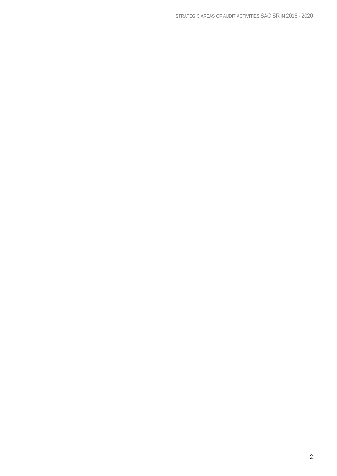STRATEGIC AREAS OF AUDIT ACTIVITIES SAO SR IN 2018 - 2020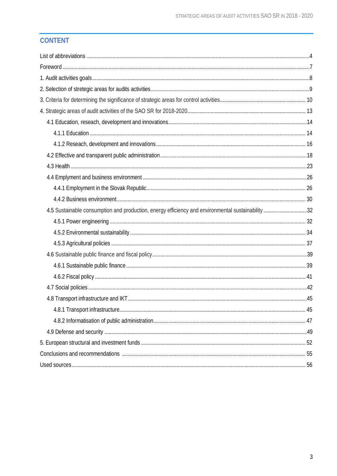# CONTENT

| 4.5 Sustainable consumption and production, energy efficiency and environmental sustainability32 |  |
|--------------------------------------------------------------------------------------------------|--|
|                                                                                                  |  |
|                                                                                                  |  |
|                                                                                                  |  |
|                                                                                                  |  |
|                                                                                                  |  |
|                                                                                                  |  |
|                                                                                                  |  |
|                                                                                                  |  |
|                                                                                                  |  |
|                                                                                                  |  |
|                                                                                                  |  |
|                                                                                                  |  |
|                                                                                                  |  |
|                                                                                                  |  |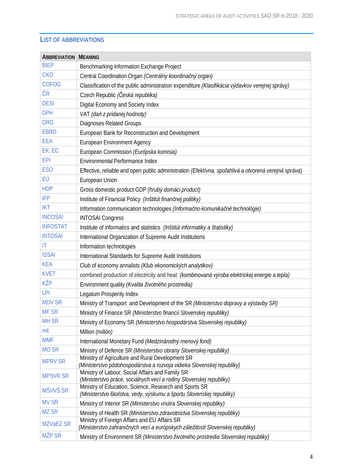## **LIST OF ABBREVIATIONS**

| <b>ABBREVIATION</b> | <b>MEANING</b>                                                                                                                  |
|---------------------|---------------------------------------------------------------------------------------------------------------------------------|
| <b>BIEP</b>         | Benchmarking Information Exchange Project                                                                                       |
| <b>CKO</b>          | Central Coordination Organ (Centrálny koordinačný organ)                                                                        |
| <b>COFOG</b>        | Classification of the public administration expenditure (Klasifikácia výdavkov verejnej správy)                                 |
| ČR                  | Czech Republic (Česká republika)                                                                                                |
| <b>DESI</b>         | Digital Economy and Society Index                                                                                               |
| <b>DPH</b>          | VAT (daň z pridanej hodnoty)                                                                                                    |
| <b>DRG</b>          | <b>Diagnoses Related Groups</b>                                                                                                 |
| <b>EBRD</b>         | European Bank for Reconstruction and Development                                                                                |
| EEA                 | <b>European Environment Agency</b>                                                                                              |
| EK, EC              | European Commission (Európska komisia)                                                                                          |
| <b>EPI</b>          | Environmental Performance Index                                                                                                 |
| <b>ESO</b>          | Effective, reliable and open public administration (Efektívna, spoľahlivá a otvorená verejná správa)                            |
| EÚ                  | European Union                                                                                                                  |
| <b>HDP</b>          | Gross domestic product GDP (hrubý domáci product)                                                                               |
| <b>IFP</b>          | Institute of Financial Policy (Inštitút finančnej politiky)                                                                     |
| <b>IKT</b>          | Information communication technologies (Informačno-komunikačné technológie)                                                     |
| <b>INCOSAI</b>      | <b>INTOSAI Congress</b>                                                                                                         |
| <b>INFOSTAT</b>     | Institute of informatics and statistics (Institut informatiky a statistiky)                                                     |
| <b>INTOSAI</b>      | International Organization of Supreme Audit Institutions                                                                        |
| IT                  | Information technologies                                                                                                        |
| <b>ISSAI</b>        | International Standards for Supreme Audit Institutions                                                                          |
| <b>KEA</b>          | Club of economy annalists (Klub ekonomických analytikov)                                                                        |
| <b>KVET</b>         | combined production of electricity and heat (kombinovaná výroba elektrickej energie a tepla)                                    |
| <b>KŽP</b>          | Environment quality (Kvalita životného prostredia)                                                                              |
| <b>LPI</b>          | Legatum Prosperity Index                                                                                                        |
| <b>MDV SR</b>       | Ministry of Transport and Development of the SR (Ministerstvo dopravy a výstavby SR)                                            |
| <b>MF SR</b>        | Ministry of Finance SR (Ministerstvo financií Slovenskej republiky)                                                             |
| <b>MH SR</b>        | Ministry of Economy SR (Ministerstvo hospodárstva Slovenskej republiky)                                                         |
| mil.                | Million (milión)                                                                                                                |
| <b>MMF</b>          | International Monetary Fund (Medzinárodný menový fond)                                                                          |
| <b>MO SR</b>        | Ministry of Defence SR (Ministerstvo obrany Slovenskej republiky)                                                               |
| <b>MPRV SR</b>      | Ministry of Agriculture and Rural Development SR<br>(Ministerstvo pôdohospodárstva a rozvoja vidieka Slovenskej republiky)      |
| <b>MPSVR SR</b>     | Ministry of Labour, Social Affairs and Family SR<br>(Ministerstvo práce, sociálnych vecí a rodiny Slovenskej republiky)         |
| MŠVVŠ SR            | Ministry of Education, Science, Research and Sports SR<br>(Ministerstvo školstva, vedy, výskumu a športu Slovenskej republiky)  |
| <b>MV SR</b>        | Ministry of Interior SR (Ministerstvo vnútra Slovenskej republiky)                                                              |
| <b>MZ SR</b>        | Ministry of Health SR (Ministerstvo zdravotníctva Slovenskej republiky)                                                         |
| <b>MZVaEZ SR</b>    | Ministry of Foreign Affairs and EU Affairs SR<br>(Ministerstvo zahraničných vecí a európskych záležitostí Slovenskej republiky) |
| <b>MŽP SR</b>       | Ministry of Environment SR (Ministerstvo životného prostredia Slovenskej republiky)                                             |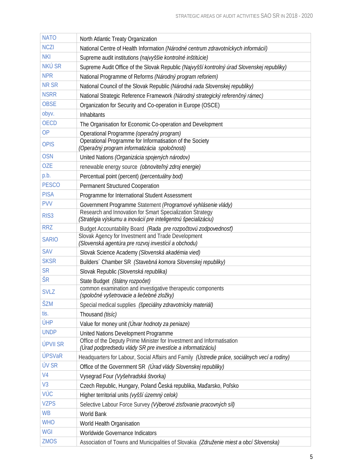| <b>NATO</b>      | North Atlantic Treaty Organization                                                                                                    |
|------------------|---------------------------------------------------------------------------------------------------------------------------------------|
| <b>NCZI</b>      | National Centre of Health Information (Národné centrum zdravotníckych informácií)                                                     |
| <b>NKI</b>       | Supreme audit institutions (najvyššie kontrolné inštitúcie)                                                                           |
| NKÚ SR           | Supreme Audit Office of the Slovak Republic (Najvyšší kontrolný úrad Slovenskej republiky)                                            |
| <b>NPR</b>       | National Programme of Reforms (Národný program reforiem)                                                                              |
| <b>NR SR</b>     | National Council of the Slovak Republic (Národná rada Slovenskej republiky)                                                           |
| <b>NSRR</b>      | National Strategic Reference Framework (Národný strategický referenčný rámec)                                                         |
| <b>OBSE</b>      | Organization for Security and Co-operation in Europe (OSCE)                                                                           |
| obyv.            | Inhabitants                                                                                                                           |
| <b>OECD</b>      | The Organisation for Economic Co-operation and Development                                                                            |
| <b>OP</b>        | Operational Programme (operačný program)                                                                                              |
| <b>OPIS</b>      | Operational Programme for Informatisation of the Society<br>(Operačný program informatizácia spoločnosti)                             |
| <b>OSN</b>       | United Nations (Organizácia spojených národov)                                                                                        |
| <b>OZE</b>       | renewable energy source (obnoviteľný zdroj energie)                                                                                   |
| p.b.             | Percentual point (percent) (percentuálny bod)                                                                                         |
| <b>PESCO</b>     | <b>Permanent Structured Cooperation</b>                                                                                               |
| <b>PISA</b>      | Programme for International Student Assessment                                                                                        |
| <b>PVV</b>       | Government Programme Statement (Programové vyhlásenie vlády)                                                                          |
| RIS <sub>3</sub> | Research and Innovation for Smart Specialization Strategy<br>(Stratégia výskumu a inovácií pre inteligentnú špecializáciu)            |
| <b>RRZ</b>       | Budget Accountability Board (Rada pre rozpočtovú zodpovednosť)                                                                        |
| <b>SARIO</b>     | Slovak Agency for Investment and Trade Development<br>(Slovenská agentúra pre rozvoj investícií a obchodu)                            |
| <b>SAV</b>       | Slovak Science Academy (Slovenská akadémia vied)                                                                                      |
| <b>SKSR</b>      | Builders' Chamber SR (Stavebná komora Slovenskej republiky)                                                                           |
| <b>SR</b>        | Slovak Republic (Slovenská republika)                                                                                                 |
| ŠR               | State Budget (štátny rozpočet)                                                                                                        |
| <b>SVLZ</b>      | common examination and investigative therapeutic components<br>(spoločné vyšetrovacie a liečebné zložky)                              |
| ŠZM              | Special medical supplies (špeciálny zdravotnícky materiál)                                                                            |
| tis.             | Thousand (tisíc)                                                                                                                      |
| ÚHP              | Value for money unit (Útvar hodnoty za peniaze)                                                                                       |
| <b>UNDP</b>      | United Nations Development Programme                                                                                                  |
| ÚPVII SR         | Office of the Deputy Prime Minister for Investment and Informatisation<br>(Úrad podpredsedu vlády SR pre investície a informatizáciu) |
| ÚPSVaR           | Headquarters for Labour, Social Affairs and Family (Ústredie práce, sociálnych vecí a rodiny)                                         |
| ÚV SR            | Office of the Government SR (Úrad vlády Slovenskej republiky)                                                                         |
| V <sub>4</sub>   | Vysegrad Four (Vyšehradská štvorka)                                                                                                   |
| V <sub>3</sub>   | Czech Republic, Hungary, Poland Česká republika, Maďarsko, Poľsko                                                                     |
| VÚC              | Higher territorial units (vyšší územný celok)                                                                                         |
| <b>VZPS</b>      | Selective Labour Force Survey (Výberové zisťovanie pracovných síl)                                                                    |
| <b>WB</b>        | <b>World Bank</b>                                                                                                                     |
| <b>WHO</b>       | World Health Organisation                                                                                                             |
| <b>WGI</b>       | Worldwide Governance Indicators                                                                                                       |
| <b>ZMOS</b>      | Association of Towns and Municipalities of Slovakia (Združenie miest a obcí Slovenska)                                                |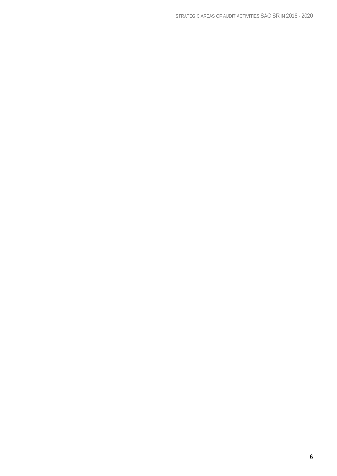STRATEGIC AREAS OF AUDIT ACTIVITIES SAO SR IN 2018 - 2020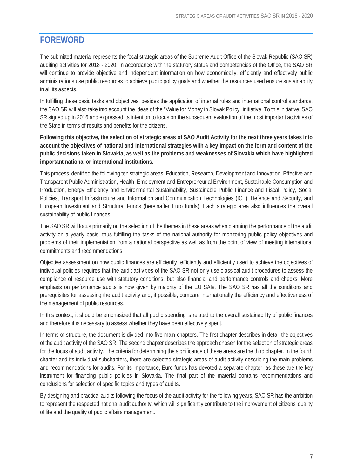# **FOREWORD**

The submitted material represents the focal strategic areas of the Supreme Audit Office of the Slovak Republic (SAO SR) auditing activities for 2018 - 2020. In accordance with the statutory status and competencies of the Office, the SAO SR will continue to provide objective and independent information on how economically, efficiently and effectively public administrations use public resources to achieve public policy goals and whether the resources used ensure sustainability in all its aspects.

In fulfilling these basic tasks and objectives, besides the application of internal rules and international control standards, the SAO SR will also take into account the ideas of the "Value for Money in Slovak Policy" initiative. To this initiative, SAO SR signed up in 2016 and expressed its intention to focus on the subsequent evaluation of the most important activities of the State in terms of results and benefits for the citizens.

**Following this objective, the selection of strategic areas of SAO Audit Activity for the next three years takes into account the objectives of national and international strategies with a key impact on the form and content of the public decisions taken in Slovakia, as well as the problems and weaknesses of Slovakia which have highlighted important national or international institutions.**

This process identified the following ten strategic areas: Education, Research, Development and Innovation, Effective and Transparent Public Administration, Health, Employment and Entrepreneurial Environment, Sustainable Consumption and Production, Energy Efficiency and Environmental Sustainability, Sustainable Public Finance and Fiscal Policy, Social Policies, Transport Infrastructure and Information and Communication Technologies (ICT), Defence and Security, and European Investment and Structural Funds (hereinafter Euro funds). Each strategic area also influences the overall sustainability of public finances.

The SAO SR will focus primarily on the selection of the themes in these areas when planning the performance of the audit activity on a yearly basis, thus fulfilling the tasks of the national authority for monitoring public policy objectives and problems of their implementation from a national perspective as well as from the point of view of meeting international commitments and recommendations.

Objective assessment on how public finances are efficiently, efficiently and efficiently used to achieve the objectives of individual policies requires that the audit activities of the SAO SR not only use classical audit procedures to assess the compliance of resource use with statutory conditions, but also financial and performance controls and checks. More emphasis on performance audits is now given by majority of the EU SAIs. The SAO SR has all the conditions and prerequisites for assessing the audit activity and, if possible, compare internationally the efficiency and effectiveness of the management of public resources.

In this context, it should be emphasized that all public spending is related to the overall sustainability of public finances and therefore it is necessary to assess whether they have been effectively spent.

In terms of structure, the document is divided into five main chapters. The first chapter describes in detail the objectives of the audit activity of the SAO SR. The second chapter describes the approach chosen for the selection of strategic areas for the focus of audit activity. The criteria for determining the significance of these areas are the third chapter. In the fourth chapter and its individual subchapters, there are selected strategic areas of audit activity describing the main problems and recommendations for audits. For its importance, Euro funds has devoted a separate chapter, as these are the key instrument for financing public policies in Slovakia. The final part of the material contains recommendations and conclusions for selection of specific topics and types of audits.

By designing and practical audits following the focus of the audit activity for the following years, SAO SR has the ambition to represent the respected national audit authority, which will significantly contribute to the improvement of citizens' quality of life and the quality of public affairs management.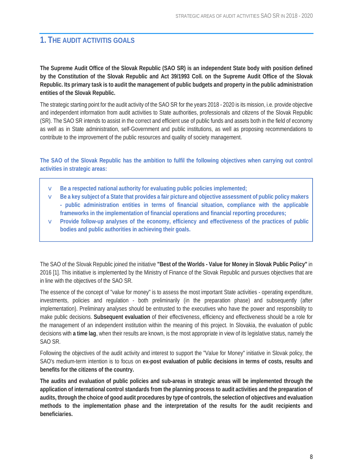# **1. THE AUDIT ACTIVITIS GOALS**

**The Supreme Audit Office of the Slovak Republic (SAO SR) is an independent State body with position defined by the Constitution of the Slovak Republic and Act 39/1993 Coll. on the Supreme Audit Office of the Slovak Republic. Its primary task is to audit the management of public budgets and property in the public administration entities of the Slovak Republic.**

The strategic starting point for the audit activity of the SAO SR for the years 2018 - 2020 is its mission, i.e. provide objective and independent information from audit activities to State authorities, professionals and citizens of the Slovak Republic (SR). The SAO SR intends to assist in the correct and efficient use of public funds and assets both in the field of economy as well as in State administration, self-Government and public institutions, as well as proposing recommendations to contribute to the improvement of the public resources and quality of society management.

**The SAO of the Slovak Republic has the ambition to fulfil the following objectives when carrying out control activities in strategic areas:**

- v **Be a respected national authority for evaluating public policies implemented;**
- v **Be a key subject of a State that provides a fair picture and objective assessment of public policy makers - public administration entities in terms of financial situation, compliance with the applicable frameworks in the implementation of financial operations and financial reporting procedures;**
- v **Provide follow-up analyses of the economy, efficiency and effectiveness of the practices of public bodies and public authorities in achieving their goals.**

The SAO of the Slovak Republic joined the initiative **"Best of the Worlds - Value for Money in Slovak Public Policy"** in 2016 [1]. This initiative is implemented by the Ministry of Finance of the Slovak Republic and pursues objectives that are in line with the objectives of the SAO SR.

The essence of the concept of "value for money" is to assess the most important State activities - operating expenditure, investments, policies and regulation - both preliminarily (in the preparation phase) and subsequently (after implementation). Preliminary analyses should be entrusted to the executives who have the power and responsibility to make public decisions. **Subsequent evaluation** of their effectiveness, efficiency and effectiveness should be a role for the management of an independent institution within the meaning of this project. In Slovakia, the evaluation of public decisions with **a time lag**, when their results are known, is the most appropriate in view of its legislative status, namely the SAO SR.

Following the objectives of the audit activity and interest to support the "Value for Money" initiative in Slovak policy, the SAO's medium-term intention is to focus on **ex-post evaluation of public decisions in terms of costs, results and benefits for the citizens of the country.**

**The audits and evaluation of public policies and sub-areas in strategic areas will be implemented through the application of international control standards from the planning process to audit activities and the preparation of audits, through the choice of good audit procedures by type of controls, the selection of objectives and evaluation methods to the implementation phase and the interpretation of the results for the audit recipients and beneficiaries.**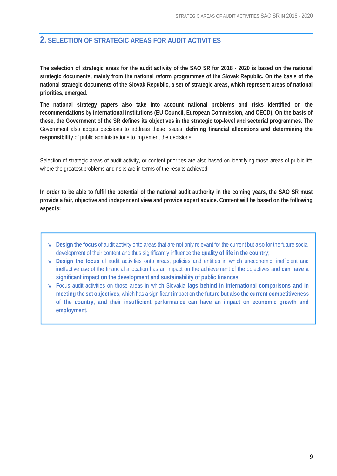# **2. SELECTION OF STRATEGIC AREAS FOR AUDIT ACTIVITIES**

**The selection of strategic areas for the audit activity of the SAO SR for 2018 - 2020 is based on the national strategic documents, mainly from the national reform programmes of the Slovak Republic. On the basis of the national strategic documents of the Slovak Republic, a set of strategic areas, which represent areas of national priorities, emerged.**

**The national strategy papers also take into account national problems and risks identified on the recommendations by international institutions (EU Council, European Commission, and OECD). On the basis of these, the Government of the SR defines its objectives in the strategic top-level and sectorial programmes.** The Government also adopts decisions to address these issues, **defining financial allocations and determining the responsibility** of public administrations to implement the decisions.

Selection of strategic areas of audit activity, or content priorities are also based on identifying those areas of public life where the greatest problems and risks are in terms of the results achieved.

**In order to be able to fulfil the potential of the national audit authority in the coming years, the SAO SR must provide a fair, objective and independent view and provide expert advice. Content will be based on the following aspects:**

- v **Design the focus** of audit activity onto areas that are not only relevant for the current but also for the future social development of their content and thus significantly influence **the quality of life in the country**;
- v **Design the focus** of audit activities onto areas, policies and entities in which uneconomic, inefficient and ineffective use of the financial allocation has an impact on the achievement of the objectives and **can have a significant impact on the development and sustainability of public finances**;
- v Focus audit activities on those areas in which Slovakia **lags behind in international comparisons and in meeting the set objectives**, which has a significant impact on **the future but also the current competitiveness of the country, and their insufficient performance can have an impact on economic growth and employment.**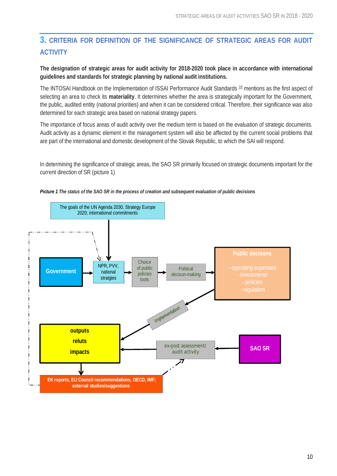# **3. CRITERIA FOR DEFINITION OF THE SIGNIFICANCE OF STRATEGIC AREAS FOR AUDIT ACTIVITY**

**The designation of strategic areas for audit activity for 2018-2020 took place in accordance with international guidelines and standards for strategic planning by national audit institutions.**

The INTOSAI Handbook on the Implementation of ISSAI Performance Audit Standards [2] mentions as the first aspect of selecting an area to check its **materiality**. It determines whether the area is strategically important for the Government, the public, audited entity (national priorities) and when it can be considered critical. Therefore, their significance was also determined for each strategic area based on national strategy papers.

The importance of focus areas of audit activity over the medium term is based on the evaluation of strategic documents. Audit activity as a dynamic element in the management system will also be affected by the current social problems that are part of the international and domestic development of the Slovak Republic, to which the SAI will respond.

In determining the significance of strategic areas, the SAO SR primarily focused on strategic documents important for the current direction of SR (picture 1)



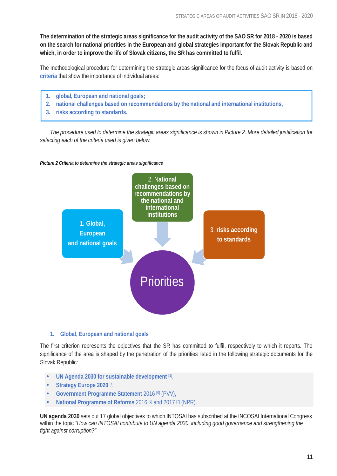**The determination of the strategic areas significance for the audit activity of the SAO SR for 2018 - 2020 is based on the search for national priorities in the European and global strategies important for the Slovak Republic and which, in order to improve the life of Slovak citizens, the SR has committed to fulfil.**

The methodological procedure for determining the strategic areas significance for the focus of audit activity is based on **criteria** that show the importance of individual areas:

- **1. global, European and national goals;**
- **2. national challenges based on recommendations by the national and international institutions,**
- **3. risks according to standards.**

*The procedure used to determine the strategic areas significance is shown in Picture 2. More detailed justification for selecting each of the criteria used is given below.*

*Picture 2 Criteria to determine the strategic areas significance*



#### **1. Global, European and national goals**

The first criterion represents the objectives that the SR has committed to fulfil, respectively to which it reports. The significance of the area is shaped by the penetration of the priorities listed in the following strategic documents for the Slovak Republic:

- **UN Agenda 2030 for sustainable development** [3] ,
- Strategy Europe 2020<sup>[4]</sup>,
- **Government Programme Statement** 2016 [5] (PVV),
- **National Programme of Reforms** 2016 [6] and 2017 [7] (NPR).

**UN agenda 2030** sets out 17 global objectives to which INTOSAI has subscribed at the INCOSAI International Congress within the topic *"How can INTOSAI contribute to UN agenda 2030, including good governance and strengthening the fight against corruption?"*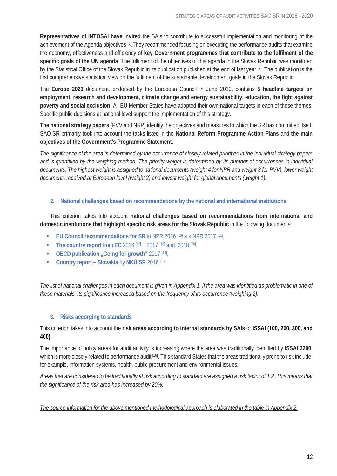**Representatives of INTOSAI have invited** the SAIs to contribute to successful implementation and monitoring of the achievement of the Agenda objectives [8].They recommended focusing on executing the performance audits that examine the economy, effectiveness and efficiency of **key Government programmes that contribute to the fulfilment of the specific goals of the UN agenda**. The fulfilment of the objectives of this agenda in the Slovak Republic was monitored by the Statistical Office of the Slovak Republic in its publication published at the end of last year [9]. The publication is the first comprehensive statistical view on the fulfilment of the sustainable development goals in the Slovak Republic.

The **Europe 2020** document, endorsed by the European Council in June 2010, contains **5 headline targets on employment, research and development, climate change and energy sustainability, education, the fight against poverty and social exclusion**. All EU Member States have adopted their own national targets in each of these themes. Specific public decisions at national level support the implementation of this strategy.

**The national strategy papers** (PVV and NRP) identify the objectives and measures to which the SR has committed itself. SAO SR primarily took into account the tasks listed in the **National Reform Programme Action Plans** and **the main objectives of the Government's Programme Statement**.

*The significance of the area is determined by the occurrence of closely related priorities in the individual strategy papers and is quantified by the weighing method. The priority weight is determined by its number of occurrences in individual documents. The highest weight is assigned to national documents (weight 4 for NPR and weight 3 for PVV), lower weight documents received at European level (weight 2) and lowest weight for global documents (weight 1).*

#### **2. National challenges based on recommendations by the national and international institutions**

This criterion takes into account **national challenges based on recommendations from international and domestic institutions that highlight specific risk areas for the Slovak Republic** in the following documents:

- EU Council recommendations for SR to NPR 2016<sup>[10]</sup> a k NPR 2017<sup>[11]</sup>,
- à, **The country report** from **EC** 2016 [12], 2017 [13] and 2018 [50] ,
- OECD publication "Going for growth" 2017<sup>[14]</sup>,
- **Country report Slovakia** by **NKÚ SR** 2016 [15] .

*The list of national challenges in each document is given in Appendix 1. If the area was identified as problematic in one of these materials, its significance increased based on the frequency of its occurrence (weighing 2).*

## **3. Risks accorging to standards**

This criterion takes into account the **risk areas according to internal standards by SAIs** or **ISSAI (100, 200, 300, and 400).**

The importance of policy areas for audit activity is increasing where the area was traditionally identified by **ISSAI 3200**, which is more closely related to performance audit [16]. This standard States that the areas traditionally prone to risk include, for example, information systems, health, public procurement and environmental issues.

*Areas that are considered to be traditionally at risk according to standard are assigned a risk factor of 1.2. This means that the significance of the risk area has increased by 20%.*

*The source information for the above mentioned methodological approach is elaborated in the table in Appendix 2.*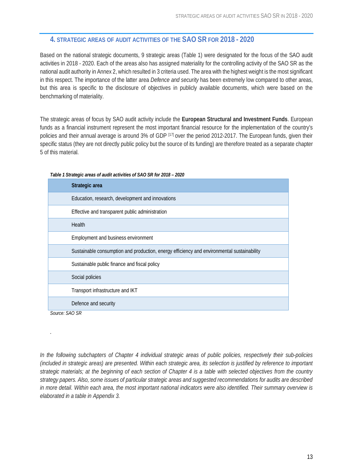## **4. STRATEGIC AREAS OF AUDIT ACTIVITIES OF THE SAO SR FOR 2018 - 2020**

Based on the national strategic documents, 9 strategic areas (Table 1) were designated for the focus of the SAO audit activities in 2018 - 2020. Each of the areas also has assigned materiality for the controlling activity of the SAO SR as the national audit authority in Annex 2, which resulted in 3 criteria used. The area with the highest weight is the most significant in this respect. The importance of the latter area *Defence and security* has been extremely low compared to other areas, but this area is specific to the disclosure of objectives in publicly available documents, which were based on the benchmarking of materiality.

The strategic areas of focus by SAO audit activity include the **European Structural and Investment Funds**. European funds as a financial instrument represent the most important financial resource for the implementation of the country's policies and their annual average is around 3% of GDP [17] over the period 2012-2017. The European funds, given their specific status (they are not directly public policy but the source of its funding) are therefore treated as a separate chapter 5 of this material.

| Strategic area                                                                             |
|--------------------------------------------------------------------------------------------|
| Education, research, development and innovations                                           |
| Effective and transparent public administration                                            |
| <b>Health</b>                                                                              |
| Employment and business environment                                                        |
| Sustainable consumption and production, energy efficiency and environmental sustainability |
| Sustainable public finance and fiscal policy                                               |
| Social policies                                                                            |
| Transport infrastructure and IKT                                                           |
| Defence and security                                                                       |

*Table 1 Strategic areas of audit activities of SAO SR for 2018 – 2020*

*Source: SAO SR*

*.*

*In the following subchapters of Chapter 4 individual strategic areas of public policies, respectively their sub-policies (included in strategic areas) are presented. Within each strategic area, its selection is justified by reference to important strategic materials; at the beginning of each section of Chapter 4 is a table with selected objectives from the country strategy papers. Also, some issues of particular strategic areas and suggested recommendations for audits are described in more detail. Within each area, the most important national indicators were also identified. Their summary overview is elaborated in a table in Appendix 3.*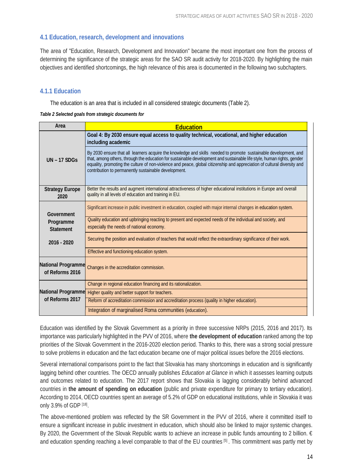## **4.1 Education, research, development and innovations**

The area of "Education, Research, Development and Innovation" became the most important one from the process of determining the significance of the strategic areas for the SAO SR audit activity for 2018-2020. By highlighting the main objectives and identified shortcomings, the high relevance of this area is documented in the following two subchapters.

#### **4.1.1 Education**

The education is an area that is included in all considered strategic documents (Table 2).

*Table 2 Selected goals from strategic documents for*

| Area                                  | <b>Education</b>                                                                                                                                                                                                                                                                                                                                                                                                               |  |  |  |  |
|---------------------------------------|--------------------------------------------------------------------------------------------------------------------------------------------------------------------------------------------------------------------------------------------------------------------------------------------------------------------------------------------------------------------------------------------------------------------------------|--|--|--|--|
|                                       | Goal 4: By 2030 ensure equal access to quality technical, vocational, and higher education<br>including academic                                                                                                                                                                                                                                                                                                               |  |  |  |  |
| $UN - 17$ SDGs                        | By 2030 ensure that all learners acquire the knowledge and skills needed to promote sustainable development, and<br>that, among others, through the education for sustainable development and sustainable life style, human rights, gender<br>equality, promoting the culture of non-violence and peace, global citizenship and appreciation of cultural diversity and<br>contribution to permanently sustainable development. |  |  |  |  |
| <b>Strategy Europe</b><br>2020        | Better the results and augment international attractiveness of higher educational institutions in Europe and overall<br>quality in all levels of education and training in EU.                                                                                                                                                                                                                                                 |  |  |  |  |
| Government                            | Significant increase in public investment in education, coupled with major internal changes in education system.                                                                                                                                                                                                                                                                                                               |  |  |  |  |
| Programme<br>Statement                | Quality education and upbringing reacting to present and expected needs of the individual and society, and<br>especially the needs of national economy.                                                                                                                                                                                                                                                                        |  |  |  |  |
| 2016 - 2020                           | Securing the position and evaluation of teachers that would reflect the extraordinary significance of their work.                                                                                                                                                                                                                                                                                                              |  |  |  |  |
|                                       | Effective and functioning education system.                                                                                                                                                                                                                                                                                                                                                                                    |  |  |  |  |
| National Programme<br>of Reforms 2016 | Changes in the accreditation commission.                                                                                                                                                                                                                                                                                                                                                                                       |  |  |  |  |
|                                       | Change in regional education financing and its rationalization.                                                                                                                                                                                                                                                                                                                                                                |  |  |  |  |
| National Programme                    | Higher quality and better support for teachers.                                                                                                                                                                                                                                                                                                                                                                                |  |  |  |  |
| of Reforms 2017                       | Reform of accreditation commission and accreditation process (quality in higher education).                                                                                                                                                                                                                                                                                                                                    |  |  |  |  |
|                                       | Integration of marginalised Roma communities (education).                                                                                                                                                                                                                                                                                                                                                                      |  |  |  |  |

Education was identified by the Slovak Government as a priority in three successive NRPs (2015, 2016 and 2017). Its importance was particularly highlighted in the PVV of 2016, where **the development of education** ranked among the top priorities of the Slovak Government in the 2016-2020 election period. Thanks to this, there was a strong social pressure to solve problems in education and the fact education became one of major political issues before the 2016 elections.

Several international comparisons point to the fact that Slovakia has many shortcomings in education and is significantly lagging behind other countries. The OECD annually publishes *Education at Glance* in which it assesses learning outputs and outcomes related to education. The 2017 report shows that Slovakia is lagging considerably behind advanced countries in **the amount of spending on education** (public and private expenditure for primary to tertiary education). According to 2014, OECD countries spent an average of 5.2% of GDP on educational institutions, while in Slovakia it was only 3.9% of GDP [18].

The above-mentioned problem was reflected by the SR Government in the PVV of 2016, where it committed itself to ensure a significant increase in public investment in education, which should also be linked to major systemic changes. By 2020, the Government of the Slovak Republic wants to achieve an increase in public funds amounting to 2 billion. € and education spending reaching a level comparable to that of the EU countries [5]. This commitment was partly met by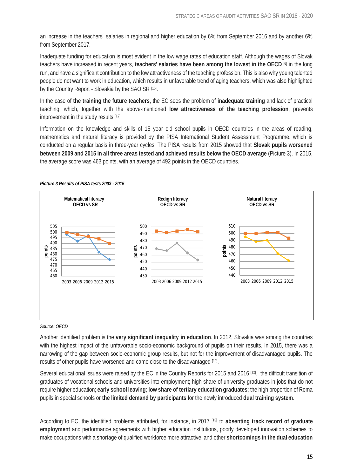an increase in the teachers´ salaries in regional and higher education by 6% from September 2016 and by another 6% from September 2017.

Inadequate funding for education is most evident in the low wage rates of education staff. Although the wages of Slovak teachers have increased in recent years, **teachers' salaries have been among the lowest in the OECD** [6] in the long run, and have a significant contribution to the low attractiveness of the teaching profession. This is also why young talented people do not want to work in education, which results in unfavorable trend of aging teachers, which was also highlighted by the Country Report - Slovakia by the SAO SR [15].

In the case of **the training the future teachers**, the EC sees the problem of **inadequate training** and lack of practical teaching, which, together with the above-mentioned **low attractiveness of the teaching profession**, prevents improvement in the study results [12].

Information on the knowledge and skills of 15 year old school pupils in OECD countries in the areas of reading, mathematics and natural literacy is provided by the PISA International Student Assessment Programme, which is conducted on a regular basis in three-year cycles. The PISA results from 2015 showed that **Slovak pupils worsened between 2009 and 2015 in all three areas tested and achieved results below the OECD average** (Picture 3). In 2015, the average score was 463 points, with an average of 492 points in the OECD countries.



*Picture 3 Results of PISA tests 2003 - 2015*

#### *Source: OECD*

Another identified problem is the **very significant inequality in education**. In 2012, Slovakia was among the countries with the highest impact of the unfavorable socio-economic background of pupils on their results. In 2015, there was a narrowing of the gap between socio-economic group results, but not for the improvement of disadvantaged pupils. The results of other pupils have worsened and came close to the disadvantaged [19].

Several educational issues were raised by the EC in the Country Reports for 2015 and 2016 [12]. the difficult transition of graduates of vocational schools and universities into employment; high share of university graduates in jobs that do not require higher education; **early school leaving**; **low share of tertiary education graduates**; the high proportion of Roma pupils in special schools or **the limited demand by participants** for the newly introduced **dual training system**.

According to EC, the identified problems attributed, for instance, in 2017 [13] to **absenting track record of graduate employment** and performance agreements with higher education institutions, poorly developed innovation schemes to make occupations with a shortage of qualified workforce more attractive, and other **shortcomings in the dual education**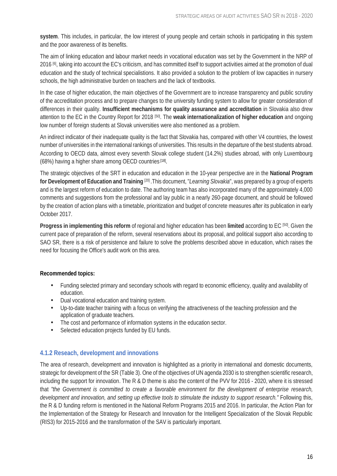**system**. This includes, in particular, the low interest of young people and certain schools in participating in this system and the poor awareness of its benefits.

The aim of linking education and labour market needs in vocational education was set by the Government in the NRP of 2016 [6], taking into account the EC's criticism, and has committed itself to support activities aimed at the promotion of dual education and the study of technical specialistions. It also provided a solution to the problem of low capacities in nursery schools, the high administrative burden on teachers and the lack of textbooks.

In the case of higher education, the main objectives of the Government are to increase transparency and public scrutiny of the accreditation process and to prepare changes to the university funding system to allow for greater consideration of differences in their quality. **Insufficient mechanisms for quality assurance and accreditation** in Slovakia also drew attention to the EC in the Country Report for 2018 [50]. The **weak internationalization of higher education** and ongoing low number of foreign students at Slovak universities were also mentioned as a problem.

An indirect indicator of their inadequate quality is the fact that Slovakia has, compared with other V4 countries, the lowest number of universities in the international rankings of universities. This results in the departure of the best students abroad. According to OECD data, almost every seventh Slovak college student (14.2%) studies abroad, with only Luxembourg (68%) having a higher share among OECD countries [18].

The strategic objectives of the SRT in education and education in the 10-year perspective are in the **National Program for Development of Education and Training** [20] .This document, "*Learning Slovakia*", was prepared by a group of experts and is the largest reform of education to date. The authoring team has also incorporated many of the approximately 4,000 comments and suggestions from the professional and lay public in a nearly 260-page document, and should be followed by the creation of action plans with a timetable, prioritization and budget of concrete measures after its publication in early October 2017.

**Progress in implementing this reform** of regional and higher education has been **limited** according to EC [50]. Given the current pace of preparation of the reform, several reservations about its proposal, and political support also according to SAO SR, there is a risk of persistence and failure to solve the problems described above in education, which raises the need for focusing the Office's audit work on this area.

**Recommended topics:**

- Funding selected primary and secondary schools with regard to economic efficiency, quality and availability of education.
- Dual vocational education and training system.
- Up-to-date teacher training with a focus on verifying the attractiveness of the teaching profession and the application of graduate teachers.
- The cost and performance of information systems in the education sector.
- Selected education projects funded by EU funds.

#### **4.1.2 Reseach, development and innovations**

The area of research, development and innovation is highlighted as a priority in international and domestic documents, strategic for development of the SR (Table 3). One of the objectives of UN agenda 2030 is to strengthen scientific research, including the support for innovation. The R & D theme is also the content of the PVV for 2016 - 2020, where it is stressed that *"the Government is committed to create a favorable environment for the development of enterprise research, development and innovation, and setting up effective tools to stimulate the industry to support research."* Following this, the R & D funding reform is mentioned in the National Reform Programs 2015 and 2016. In particular, the Action Plan for the Implementation of the Strategy for Research and Innovation for the Intelligent Specialization of the Slovak Republic (RIS3) for 2015-2016 and the transformation of the SAV is particularly important.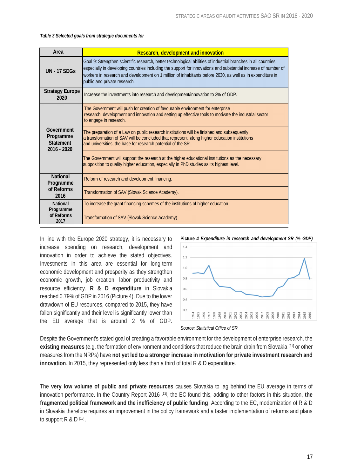#### *Table 3 Selected goals from strategic documents for*

| Area                                                       | Research, development and innovation                                                                                                                                                                                                                                                                                                                                           |
|------------------------------------------------------------|--------------------------------------------------------------------------------------------------------------------------------------------------------------------------------------------------------------------------------------------------------------------------------------------------------------------------------------------------------------------------------|
| $UN - 17$ SDGs                                             | Goal 9: Strengthen scientific research, better technological abilities of industrial branches in all countries,<br>especially in developing countries including the support for innovations and substantial increase of number of<br>workers in research and development on 1 million of inhabitants before 2030, as well as in expenditure in<br>public and private research. |
| <b>Strategy Europe</b><br>2020                             | Increase the investments into research and development/innovation to 3% of GDP.                                                                                                                                                                                                                                                                                                |
|                                                            | The Government will push for creation of favourable environment for enterprise<br>research, development and innovation and setting up effective tools to motivate the industrial sector<br>to engage in research.                                                                                                                                                              |
| Government<br>Programme<br><b>Statement</b><br>2016 - 2020 | The preparation of a Law on public research institutions will be finished and subsequently<br>a transformation of SAV will be concluded that represent, along higher education institutions<br>and universities, the base for research potential of the SR.                                                                                                                    |
|                                                            | The Government will support the research at the higher educational institutions as the necessary<br>supposition to quality higher education, especially in PhD studies as its highest level.                                                                                                                                                                                   |
| National<br>Programme                                      | Reform of research and development financing.                                                                                                                                                                                                                                                                                                                                  |
| of Reforms<br>2016                                         | Transformation of SAV (Slovak Science Academy).                                                                                                                                                                                                                                                                                                                                |
| National<br>Programme                                      | To increase the grant financing schemes of the institutions of higher education.                                                                                                                                                                                                                                                                                               |
| of Reforms<br>2017                                         | Transformation of SAV (Slovak Science Academy)                                                                                                                                                                                                                                                                                                                                 |

In line with the Europe 2020 strategy, it is necessary to increase spending on research, development and innovation in order to achieve the stated objectives. Investments in this area are essential for long-term economic development and prosperity as they strengthen economic growth, job creation, labor productivity and resource efficiency. **R & D expenditure** in Slovakia reached 0.79% of GDP in 2016 (Picture 4). Due to the lower drawdown of EU resources, compared to 2015, they have fallen significantly and their level is significantly lower than the EU average that is around 2 % of GDP.





Despite the Government's stated goal of creating a favorable environment for the development of enterprise research, the **existing measures** (e.g. the formation of environment and conditions that reduce the brain drain from Slovakia [21] or other measures from the NRPs) have **not yet led to a stronger increase in motivation for private investment research and innovation**. In 2015, they represented only less than a third of total R & D expenditure.

The **very low volume of public and private resources** causes Slovakia to lag behind the EU average in terms of innovation performance. In the Country Report 2016 [12], the EC found this, adding to other factors in this situation, **the fragmented political framework and the inefficiency of public funding**. According to the EC, modernization of R & D in Slovakia therefore requires an improvement in the policy framework and a faster implementation of reforms and plans to support  $R$  &  $D$  [13].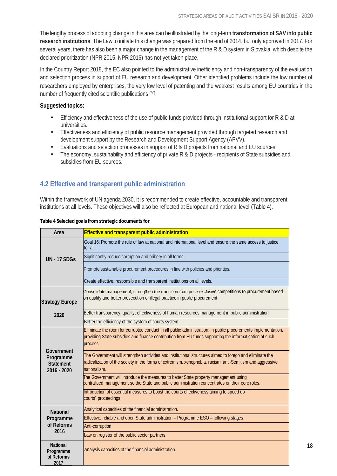The lengthy process of adopting change in this area can be illustrated by the long-term **transformation of SAV into public research institutions**. The Law to initiate this change was prepared from the end of 2014, but only approved in 2017. For several years, there has also been a major change in the management of the R & D system in Slovakia, which despite the declared prioritization (NPR 2015, NPR 2016) has not yet taken place.

In the Country Report 2018, the EC also pointed to the administrative inefficiency and non-transparency of the evaluation and selection process in support of EU research and development. Other identified problems include the low number of researchers employed by enterprises, the very low level of patenting and the weakest results among EU countries in the number of frequently cited scientific publications [50].

**Suggested topics:**

**2017**

- Efficiency and effectiveness of the use of public funds provided through institutional support for R & D at universities.
- Effectiveness and efficiency of public resource management provided through targeted research and development support by the Research and Development Support Agency (APVV).
- Evaluations and selection processes in support of R & D projects from national and EU sources. t.
- The economy, sustainability and efficiency of private R & D projects recipients of State subsidies and subsidies from EU sources.

# **4.2 Effective and transparent public administration**

Within the framework of UN agenda 2030, it is recommended to create effective, accountable and transparent institutions at all levels. These objectives will also be reflected at European and national level (Table 4).

| Area                                                       | Effective and transparent public administration                                                                                                                                                                                       |
|------------------------------------------------------------|---------------------------------------------------------------------------------------------------------------------------------------------------------------------------------------------------------------------------------------|
|                                                            | Goal 16: Promote the rule of law at national and international level and ensure the same access to justice<br>for all.                                                                                                                |
| <b>UN-17 SDGs</b>                                          | Significantly reduce corruption and bribery in all forms.                                                                                                                                                                             |
|                                                            | Promote sustainable procurement procedures in line with policies and priorities.                                                                                                                                                      |
|                                                            | Create effective, responsible and transparent institutions on all levels.                                                                                                                                                             |
| <b>Strategy Europe</b>                                     | Consolidate management, strengthen the transition from price-exclusive competitions to procurement based<br>on quality and better prosecution of illegal practice in public procurement.                                              |
| 2020                                                       | Better transparency, quality, effectiveness of human resources management in public administration.                                                                                                                                   |
|                                                            | Better the efficiency of the system of courts system.                                                                                                                                                                                 |
|                                                            | Eliminate the room for corrupted conduct in all public administration, in public procurements implementation,<br>providing State subsidies and finance contribution from EU funds supporting the informatisation of such<br>process.  |
| Government<br>Programme<br><b>Statement</b><br>2016 - 2020 | The Government will strengthen activities and institutional structures aimed to forego and eliminate the<br>radicalization of the society in the forms of extremism, xenophobia, racism, anti-Semitism and aggressive<br>nationalism. |
|                                                            | The Government will introduce the measures to better State property management using<br>centralised management so the State and public administration concentrates on their core roles.                                               |
|                                                            | Introduction of essential measures to boost the courts effectiveness aiming to speed up<br>courts' proceedings.                                                                                                                       |
| National                                                   | Analytical capacities of the financial administration.                                                                                                                                                                                |
| Programme                                                  | Effective, reliable and open State administration - Programme ESO - following stages.                                                                                                                                                 |
| of Reforms<br>2016                                         | Anti-corruption                                                                                                                                                                                                                       |
|                                                            | Law on register of the public sector partners.                                                                                                                                                                                        |
| National<br>Programme<br>of Reforms                        | Analysis capacities of the financial administration.                                                                                                                                                                                  |

**Table 4 Selected goals from strategic documents for**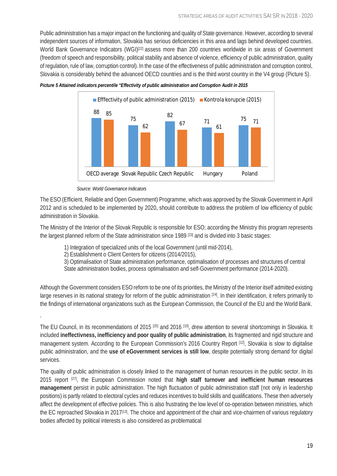Public administration has a major impact on the functioning and quality of State governance. However, according to several independent sources of information, Slovakia has serious deficiencies in this area and lags behind developed countries. World Bank Governance Indicators (WGI)<sup>[22]</sup> assess more than 200 countries worldwide in six areas of Government (freedom of speech and responsibility, political stability and absence of violence, efficiency of public administration, quality of regulation, rule of law, corruption control). In the case of the effectiveness of public administration and corruption control, Slovakia is considerably behind the advanced OECD countries and is the third worst country in the V4 group (Picture 5).



*Picture 5 Attained indicators percentile "Effectivity of public administration and Corruption Audit in 2015*

*Source: World Governance Indicators*

.

The ESO (Efficient, Reliable and Open Government) Programme, which was approved by the Slovak Government in April 2012 and is scheduled to be implemented by 2020, should contribute to address the problem of low efficiency of public administration in Slovakia.

The Ministry of the Interior of the Slovak Republic is responsible for ESO; according the Ministry this program represents the largest planned reform of the State administration since 1989 [23] and is divided into 3 basic stages:

1) Integration of specialized units of the local Government (until mid-2014),

2) Establishment o Client Centers for citizens (2014/2015),

3) Optimalisation of State administration performance, optimalisation of processes and structures of central State administration bodies, process optimalisation and self-Government performance (2014-2020).

Although the Government considers ESO reform to be one of its priorities, the Ministry of the Interior itself admitted existing large reserves in its national strategy for reform of the public administration [24]. In their identification, it refers primarily to the findings of international organizations such as the European Commission, the Council of the EU and the World Bank.

The EU Council, in its recommendations of 2015 [25] and 2016 [10], drew attention to several shortcomings in Slovakia. It included **ineffectivness, inefficiency and poor quality of public administration**, its fragmented and rigid structure and management system. According to the European Commission's 2016 Country Report [12], Slovakia is slow to digitalise public administration, and the **use of eGovernment services is still low**, despite potentially strong demand for digital services.

The quality of public administration is closely linked to the management of human resources in the public sector. In its 2015 report [27], the European Commission noted that **high staff turnover and inefficient human resources management** persist in public administration. The high fluctuation of public administration staff (not only in leadership positions) is partly related to electoral cycles and reduces incentives to build skills and qualifications. These then adversely affect the development of effective policies. This is also frustrating the low level of co-operation between ministries, which the EC reproached Slovakia in 2017<sup>[13]</sup>. The choice and appointment of the chair and vice-chairmen of various regulatory bodies affected by political interests is also considered as problematical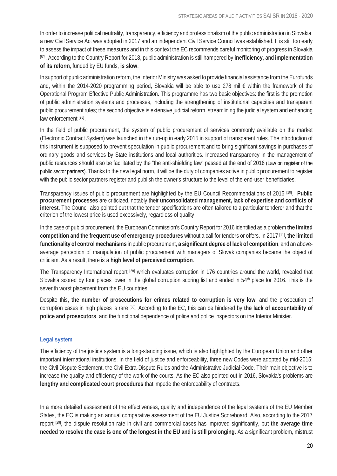In order to increase political neutrality, transparency, efficiency and professionalism of the public administration in Slovakia, a new Civil Service Act was adopted in 2017 and an independent Civil Service Council was established. It is still too early to assess the impact of these measures and in this context the EC recommends careful monitoring of progress in Slovakia [50]. According to the Country Report for 2018, public administration is still hampered by **inefficiency**, and **implementation of its reform**, funded by EU funds, **is slow**.

In support of public administration reform, the Interior Ministry was asked to provide financial assistance from the Eurofunds and, within the 2014-2020 programming period, Slovakia will be able to use 278 mil € within the framework of the Operational Program Effective Public Administration. This programme has two basic objectives: the first is the promotion of public administration systems and processes, including the strengthening of institutional capacities and transparent public procurement rules; the second objective is extensive judicial reform, streamlining the judicial system and enhancing law enforcement [26].

In the field of public procurement, the system of public procurement of services commonly available on the market (Electronic Contract System) was launched in the run-up in early 2015 in support of transparent rules. The introduction of this instrument is supposed to prevent speculation in public procurement and to bring significant savings in purchases of ordinary goods and services by State institutions and local authorities. Increased transparency in the management of public resources should also be facilitated by the "the anti-shielding law" passed at the end of 2016 (Law on register of the public sector partners). Thanks to the new legal norm, it will be the duty of companies active in public procurement to register with the public sector partners register and publish the owner's structure to the level of the end-user beneficiaries.

Transparency issues of public procurement are highlighted by the EU Council Recommendations of 2016 [10] . **Public procurement processes** are criticized, notably their **unconsolidated management, lack of expertise and conflicts of interest.** The Council also pointed out that the tender specifications are often tailored to a particular tenderer and that the criterion of the lowest price is used excessively, regardless of quality.

In the case of publci procurement, the European Commission's Country Report for 2016 identified as a problem **the limited competition and the frequent use of emergency procedures** without a call for tenders or offers. In 2017 [11] , **the limited functionality of control mechanisms** in public procurement, **a significant degree of lack of competition**, and an aboveaverage perception of manipulation of public procurement with managers of Slovak companies became the object of criticism. As a result, there is a **high level of perceived corruption**.

The Transparency International report <sup>[28]</sup> which evaluates corruption in 176 countries around the world, revealed that Slovakia scored by four places lower in the global corruption scoring list and ended in 54<sup>th</sup> place for 2016. This is the seventh worst placement from the EU countries.

Despite this, **the number of prosecutions for crimes related to corruption is very low**, and the prosecution of corruption cases in high places is rare [50]. According to the EC, this can be hindered by **the lack of accountability of police and prosecutors**, and the functional dependence of police and police inspectors on the Interior Minister.

#### **Legal system**

The efficiency of the justice system is a long-standing issue, which is also highlighted by the European Union and other important international institutions. In the field of justice and enforceability, three new Codes were adopted by mid-2015: the Civil Dispute Settlement, the Civil Extra-Dispute Rules and the Administrative Judicial Code. Their main objective is to increase the quality and efficiency of the work of the courts. As the EC also pointed out in 2016, Slovakia's problems are **lengthy and complicated court procedures** that impede the enforceability of contracts.

In a more detailed assessment of the effectiveness, quality and independence of the legal systems of the EU Member States, the EC is making an annual comparative assessment of the EU Justice Scoreboard. Also, according to the 2017 report [29], the dispute resolution rate in civil and commercial cases has improved significantly, but **the average time needed to resolve the case is one of the longest in the EU and is still prolonging.** As a significant problem, mistrust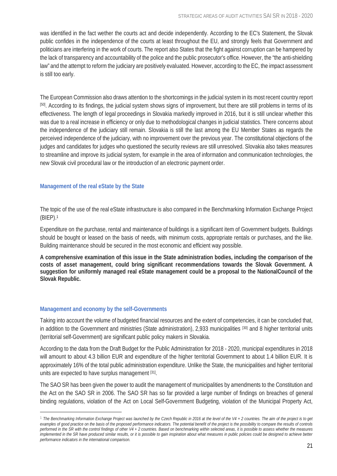was identified in the fact wether the courts act and decide independently. According to the EC's Statement, the Slovak public confides in the independence of the courts at least throughout the EU, and strongly feels that Government and politicians are interfering in the work of courts. The report also States that the fight against corruption can be hampered by the lack of transparency and accountability of the police and the public prosecutor's office. However, the "the anti-shielding law" and the attempt to reform the judiciary are positively evaluated. However, according to the EC, the impact assessment is still too early.

The European Commission also draws attention to the shortcomings in the judicial system in its most recent country report [50]. According to its findings, the judicial system shows signs of improvement, but there are still problems in terms of its effectiveness. The length of legal proceedings in Slovakia markedly improved in 2016, but it is still unclear whether this was due to a real increase in efficiency or only due to methodological changes in judicial statistics. There concerns about the independence of the judiciary still remain. Slovakia is still the last among the EU Member States as regards the perceived independence of the judiciary, with no improvement over the previous year. The constitutional objections of the judges and candidates for judges who questioned the security reviews are still unresolved. Slovakia also takes measures to streamline and improve its judicial system, for example in the area of information and communication technologies, the new Slovak civil procedural law or the introduction of an electronic payment order.

#### **Management of the real eState by the State**

The topic of the use of the real eState infrastructure is also compared in the Benchmarking Information Exchange Project (BIEP).<sup>1</sup>

Expenditure on the purchase, rental and maintenance of buildings is a significant item of Government budgets. Buildings should be bought or leased on the basis of needs, with minimum costs, appropriate rentals or purchases, and the like. Building maintenance should be secured in the most economic and efficient way possible.

**A comprehensive examination of this issue in the State administration bodies, including the comparison of the costs of asset management, could bring significant recommendations towards the Slovak Government. A suggestion for uniformly managed real eState management could be a proposal to the NationalCouncil of the Slovak Republic.**

#### **Management and economy by the self-Governments**

Taking into account the volume of budgeted financial resources and the extent of competencies, it can be concluded that, in addition to the Government and ministries (State administration), 2,933 municipalities [30] and 8 higher territorial units (territorial self-Government) are significant public policy makers in Slovakia.

According to the data from the Draft Budget for the Public Administration for 2018 - 2020, municipal expenditures in 2018 will amount to about 4.3 billion EUR and expenditure of the higher territorial Government to about 1.4 billion EUR. It is approximately 16% of the total public administration expenditure. Unlike the State, the municipalities and higher territorial units are expected to have surplus management [31].

The SAO SR has been given the power to audit the management of municipalities by amendments to the Constitution and the Act on the SAO SR in 2006. The SAO SR has so far provided a large number of findings on breaches of general binding regulations, violation of the Act on Local Self-Government Budgeting, violation of the Municipal Property Act,

<sup>1</sup> *The Benchmarking Information Exchange Project was launched by the Czech Republic in 2016 at the level of the V4 + 2 countries. The aim of the project is to get examples of good practice on the basis of the proposed performance indicators. The potential benefit of the project is the possibility to compare the results of controls performed in the SR with the control findings of other V4 + 2 countries. Based on benchmarking within selected areas, it is possible to assess whether the measures implemented in the SR have produced similar results, or it is possible to gain inspiration about what measures in public policies could be designed to achieve better performance indicators in the international comparison.*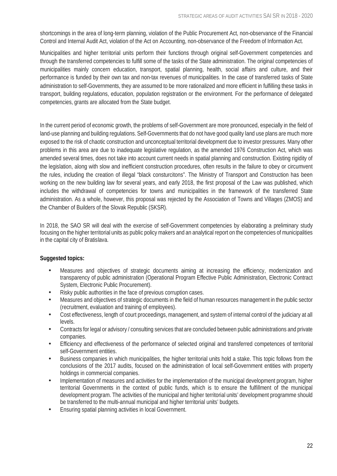shortcomings in the area of long-term planning, violation of the Public Procurement Act, non-observance of the Financial Control and Internal Audit Act, violation of the Act on Accounting, non-observance of the Freedom of Information Act.

Municipalities and higher territorial units perform their functions through original self-Government competencies and through the transferred competencies to fulfill some of the tasks of the State administration. The original competencies of municipalities mainly concern education, transport, spatial planning, health, social affairs and culture, and their performance is funded by their own tax and non-tax revenues of municipalities. In the case of transferred tasks of State administration to self-Governments, they are assumed to be more rationalized and more efficient in fulfilling these tasks in transport, building regulations, education, population registration or the environment. For the performance of delegated competencies, grants are allocated from the State budget.

In the current period of economic growth, the problems of self-Government are more pronounced, especially in the field of land-use planning and building regulations. Self-Governments that do not have good quality land use plans are much more exposed to the risk of chaotic construction and unconceptual territorial development due to investor pressures. Many other problems in this area are due to inadequate legislative regulation, as the amended 1976 Construction Act, which was amended several times, does not take into account current needs in spatial planning and construction. Existing rigidity of the legislation, along with slow and inefficient construction procedures, often results in the failure to obey or circumvent the rules, including the creation of illegal "black consturcitons". The Ministry of Transport and Construction has been working on the new building law for several years, and early 2018, the first proposal of the Law was published, which includes the withdrawal of competencies for towns and municipalities in the framework of the transferred State administration. As a whole, however, this proposal was rejected by the Association of Towns and Villages (ZMOS) and the Chamber of Builders of the Slovak Republic (SKSR).

In 2018, the SAO SR will deal with the exercise of self-Government competencies by elaborating a preliminary study focusing on the higher territorial units as public policy makers and an analytical report on the competencies of municipalities in the capital city of Bratislava.

#### **Suggested topics:**

- Measures and objectives of strategic documents aiming at increasing the efficiency, modernization and transparency of public administration (Operational Program Effective Public Administration, Electronic Contract System, Electronic Public Procurement).
- Risky public authorities in the face of previous corruption cases.
- Measures and objectives of strategic documents in the field of human resources management in the public sector (recruitment, evaluation and training of employees).
- Cost effectiveness, length of court proceedings, management, and system of internal control of the judiciary at all levels.
- Contracts for legal or advisory / consulting services that are concluded between public administrations and private companies.
- Efficiency and effectiveness of the performance of selected original and transferred competences of territorial self-Government entities.
- Business companies in which municipalities, the higher territorial units hold a stake. This topic follows from the conclusions of the 2017 audits, focused on the administration of local self-Government entities with property holdings in commercial companies.
- Implementation of measures and activities for the implementation of the municipal development program, higher territorial Governments in the context of public funds, which is to ensure the fulfillment of the municipal development program. The activities of the municipal and higher territorial units' development programme should be transferred to the multi-annual municipal and higher territorial units' budgets.
- Ensuring spatial planning activities in local Government.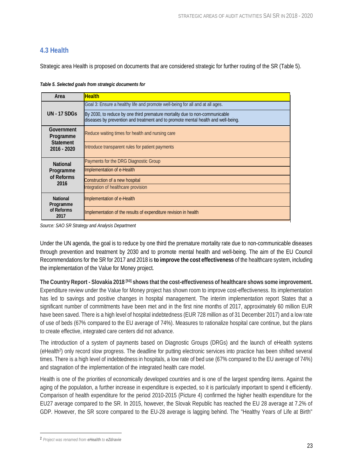# **4.3 Health**

Strategic area Health is proposed on documents that are considered strategic for further routing of the SR (Table 5).

| Area                            | <b>Health</b>                                                                                                                                                    |
|---------------------------------|------------------------------------------------------------------------------------------------------------------------------------------------------------------|
|                                 | Goal 3: Ensure a healthy life and promote well-being for all and at all ages.                                                                                    |
| UN - 17 SDGs                    | By 2030, to reduce by one third premature mortality due to non-communicable<br>diseases by prevention and treatment and to promote mental health and well-being. |
| Government<br>Programme         | Reduce waiting times for health and nursing care                                                                                                                 |
| <b>Statement</b><br>2016 - 2020 | Introduce transparent rules for patient payments                                                                                                                 |
| <b>National</b>                 | Payments for the DRG Diagnostic Group                                                                                                                            |
| Programme                       | Implementation of e-Health                                                                                                                                       |
| of Reforms<br>2016              | Construction of a new hospital                                                                                                                                   |
|                                 | Integration of healthcare provision                                                                                                                              |
| National<br>Programme           | Implementation of e-Health                                                                                                                                       |
| of Reforms<br>2017              | Implementation of the results of expenditure revision in health                                                                                                  |

*Table 5. Selected goals from strategic documents for*

*Source: SAO SR Strategy and Analysis Department*

Under the UN agenda, the goal is to reduce by one third the premature mortality rate due to non-communicable diseases through prevention and treatment by 2030 and to promote mental health and well-being. The aim of the EU Council Recommendations for the SR for 2017 and 2018 is **to improve the cost effectiveness** of the healthcare system, including the implementation of the Value for Money project.

**The Country Report - Slovakia 2018 [50] shows that the cost-effectiveness of healthcare shows some improvement.** Expenditure review under the Value for Money project has shown room to improve cost-effectiveness. Its implementation has led to savings and positive changes in hospital management. The interim implementation report States that a significant number of commitments have been met and in the first nine months of 2017, approximately 60 million EUR have been saved. There is a high level of hospital indebtedness (EUR 728 million as of 31 December 2017) and a low rate of use of beds (67% compared to the EU average of 74%). Measures to rationalize hospital care continue, but the plans to create effective, integrated care centers did not advance.

The introduction of a system of payments based on Diagnostic Groups (DRGs) and the launch of eHealth systems (eHealth<sup>2</sup>) only record slow progress. The deadline for putting electronic services into practice has been shifted several times. There is a high level of indebtedness in hospitals, a low rate of bed use (67% compared to the EU average of 74%) and stagnation of the implementation of the integrated health care model.

Health is one of the priorities of economically developed countries and is one of the largest spending items. Against the aging of the population, a further increase in expenditure is expected, so it is particularly important to spend it efficiently. Comparison of health expenditure for the period 2010-2015 (Picture 4) confirmed the higher health expenditure for the EU27 average compared to the SR. In 2015, however, the Slovak Republic has reached the EU 28 average at 7.2% of GDP. However, the SR score compared to the EU-28 average is lagging behind. The "Healthy Years of Life at Birth"

<sup>2</sup> *Project was renamed from eHealth to eZdravie*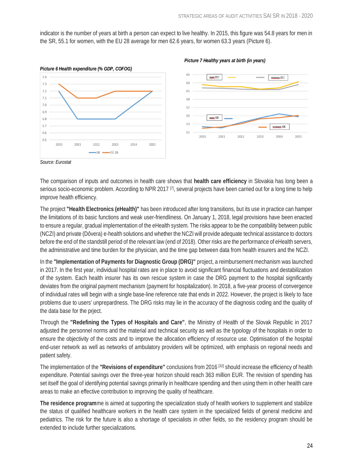indicator is the number of years at birth a person can expect to live healthy. In 2015, this figure was 54.8 years for men in the SR, 55.1 for women, with the EU 28 average for men 62.6 years, for women 63.3 years (Picture 6).





*Picture 7 Healthy years at birth (in years)*

*Source: Eurostat*

The comparison of inputs and outcomes in health care shows that **health care efficiency** in Slovakia has long been a serious socio-economic problem. According to NPR 2017 <sup>[7]</sup>, several projects have been carried out for a long time to help improve health efficiency.

The project**"Health Electronics (eHealth)"** has been introduced after long transitions, but its use in practice can hamper the limitations of its basic functions and weak user-friendliness. On January 1, 2018, legal provisions have been enacted to ensure a regular, gradual implementation of the eHealth system. The risks appear to be the compatibility between public (NCZI) and private (Dôvera) e-health solutions and whether the NCZI will provide adequate technical assistance to doctors before the end of the standstill period of the relevant law (end of 2018). Other risks are the performance of eHealth servers, the administrative and time burden for the physician, and the time gap between data from health insurers and the NCZI.

In the **"Implementation of Payments for Diagnostic Group (DRG)"** project, a reimbursement mechanism was launched in 2017. In the first year, individual hospital rates are in place to avoid significant financial fluctuations and destabilization of the system. Each health insurer has its own rescue system in case the DRG payment to the hospital significantly deviates from the original payment mechanism (payment for hospitalization). In 2018, a five-year process of convergence of individual rates will begin with a single base-line reference rate that ends in 2022. However, the project is likely to face problems due to users' unprepardness. The DRG risks may lie in the accuracy of the diagnosis coding and the quality of the data base for the prject.

Through the **"Redefining the Types of Hospitals and Care"**, the Ministry of Health of the Slovak Republic in 2017 adjusted the personnel norms and the material and technical security as well as the typology of the hospitals in order to ensure the objectivity of the costs and to improve the allocation efficiency of resource use. Optimisation of the hospital end-user network as well as networks of ambulatory providers will be optimized, with emphasis on regional needs and patient safety.

The implementation of the **"Revisions of expenditure"** conclusions from 2016 [32] should increase the efficiency of health expenditure. Potential savings over the three-year horizon should reach 363 million EUR. The revision of spending has set itself the goal of identifying potential savings primarily in healthcare spending and then using them in other health care areas to make an effective contribution to improving the quality of healthcare.

**The residence program**me is aimed at supporting the specialization study of health workers to supplement and stabilize the status of qualified healthcare workers in the health care system in the specialized fields of general medicine and pediatrics. The risk for the future is also a shortage of specialists in other fields, so the residency program should be extended to include further specializations.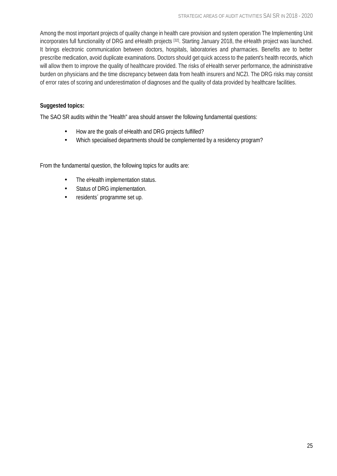Among the most important projects of quality change in health care provision and system operation The Implementing Unit incorporates full functionality of DRG and eHealth projects [32]. Starting January 2018, the eHealth project was launched. It brings electronic communication between doctors, hospitals, laboratories and pharmacies. Benefits are to better prescribe medication, avoid duplicate examinations. Doctors should get quick access to the patient's health records, which will allow them to improve the quality of healthcare provided. The risks of eHealth server performance, the administrative burden on physicians and the time discrepancy between data from health insurers and NCZI. The DRG risks may consist of error rates of scoring and underestimation of diagnoses and the quality of data provided by healthcare facilities.

#### **Suggested topics:**

The SAO SR audits within the "Health" area should answer the following fundamental questions:

- ä, How are the goals of eHealth and DRG projects fulfilled?
- Which specialised departments should be complemented by a residency program? ä,

From the fundamental question, the following topics for audits are:

- The eHealth implementation status. L.
- Status of DRG implementation. ä,
- residents´ programme set up.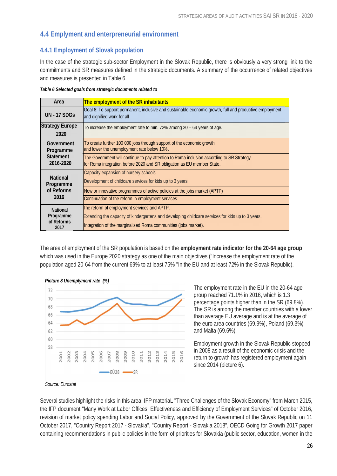# **4.4 Emplyment and enterpreneurial environment**

## **4.4.1 Employment of Slovak population**

In the case of the strategic sub-sector Employment in the Slovak Republic, there is obviously a very strong link to the commitments and SR measures defined in the strategic documents. A summary of the occurrence of related objectives and measures is presented in Table 6.

| Area                           | The employment of the SR inhabitants                                                                                                                               |
|--------------------------------|--------------------------------------------------------------------------------------------------------------------------------------------------------------------|
| <b>UN-17 SDGs</b>              | Goal 8: To support permanent, inclusive and sustainable economic growth, full and productive employment<br>and dignified work for all                              |
| <b>Strategy Europe</b><br>2020 | To increase the employment rate to min. 72% among $20 - 64$ years of age.                                                                                          |
| Government<br>Programme        | To create further 100 000 jobs through support of the economic growth<br>and lower the unemployment rate below 10%.                                                |
| <b>Statement</b><br>2016-2020  | The Government will continue to pay attention to Roma inclusion according to SR Strategy<br>for Roma integration before 2020 and SR obligation as EU member State. |
| <b>National</b>                | Capacity expansion of nursery schools                                                                                                                              |
| Programme                      | Development of childcare services for kids up to 3 years                                                                                                           |
| of Reforms                     | New or innovative programmes of active policies at the jobs market (APTP)                                                                                          |
| 2016                           | Continuation of the reform in employment services                                                                                                                  |
| <b>National</b>                | The reform of employment services and APTP.                                                                                                                        |
| Programme<br>of Reforms        | Extending the capacity of kindergartens and developing childcare services for kids up to 3 years.                                                                  |
| 2017                           | Integration of the marginalised Roma communities (jobs market).                                                                                                    |

*Table 6 Selected goals from strategic documents related to*

The area of employment of the SR population is based on the **employment rate indicator for the 20-64 age group**, which was used in the Europe 2020 strategy as one of the main objectives ("Increase the employment rate of the population aged 20-64 from the current 69% to at least 75% "In the EU and at least 72% in the Slovak Republic).



The employment rate in the EU in the 20-64 age group reached 71.1% in 2016, which is 1.3 percentage points higher than in the SR (69.8%). The SR is among the member countries with a lower than average EU average and is at the average of the euro area countries (69.9%), Poland (69.3%) and Malta (69.6%).

Employment growth in the Slovak Republic stopped in 2008 as a result of the economic crisis and the return to growth has registered employment again since 2014 (picture 6).

*Source: Eurostat*

Several studies highlight the risks in this area: IFP materiaL "Three Challenges of the Slovak Economy" from March 2015, the IFP document "Many Work at Labor Offices: Effectiveness and Efficiency of Employment Services" of October 2016, revision of market policy spending Labor and Social Policy, approved by the Government of the Slovak Republic on 11 October 2017, "Country Report 2017 - Slovakia", "Country Report - Slovakia 2018", OECD Going for Growth 2017 paper containing recommendations in public policies in the form of priorities for Slovakia (public sector, education, women in the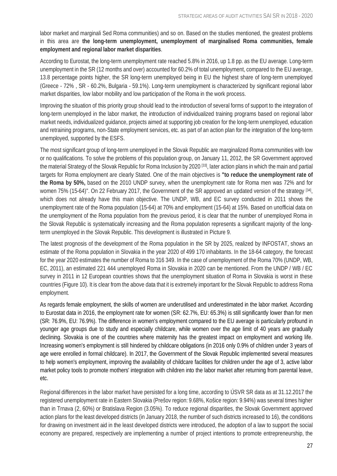labor market and marginali Sed Roma communities) and so on. Based on the studies mentioned, the greatest problems in this area are **the long-term unemployment, unemployment of marginalised Roma communities, female employment and regional labor market disparities**.

According to Eurostat, the long-term unemployment rate reached 5.8% in 2016, up 1.8 pp. as the EU average. Long-term unemployment in the SR (12 months and over) accounted for 60.2% of total unemployment, compared to the EU average, 13.8 percentage points higher, the SR long-term unemployed being in EU the highest share of long-term unemployed (Greece - 72% , SR - 60.2%, Bulgaria - 59.1%). Long-term unemployment is characterized by significant regional labor market disparities, low labor mobility and low participation of the Roma in the work process.

Improving the situation of this priority group should lead to the introduction of several forms of support to the integration of long-term unemployed in the labor market, the introduction of individualized training programs based on regional labor market needs, individualized guidance, projects aimed at supporting job creation for the long-term unemployed, education and retraining programs, non-State employment services, etc. as part of an action plan for the integration of the long-term unemployed, supported by the ESFS.

The most significant group of long-term unemployed in the Slovak Republic are marginalized Roma communities with low or no qualifications. To solve the problems of this population group, on January 11, 2012, the SR Government approved the material Strategy of the Slovak Republic for Roma Inclusion by 2020<sup>[33]</sup>, later action plans in which the main and partial targets for Roma employment are clearly Stated. One of the main objectives is **"to reduce the unemployment rate of the Roma by 50%,** based on the 2010 UNDP survey, when the unemployment rate for Roma men was 72% and for women 75% (15-64)". On 22 February 2017, the Government of the SR approved an updated version of the strategy <sup>[34]</sup>, which does not already have this main objective. The UNDP, WB, and EC survey conducted in 2011 shows the unemployment rate of the Roma population (15-64) at 70% and employment (15-64) at 15%. Based on unofficial data on the unemployment of the Roma population from the previous period, it is clear that the number of unemployed Roma in the Slovak Republic is systematically increasing and the Roma population represents a significant majority of the longterm unemployed in the Slovak Republic. This development is illustrated in Picture 9.

The latest prognosis of the development of the Roma population in the SR by 2025, realized by INFOSTAT, shows an estimate of the Roma population in Slovakia in the year 2020 of 499 170 inhabitants. In the 18-64 category, the forecast for the year 2020 estimates the number of Roma to 316 349. In the case of unemployment of the Roma 70% (UNDP, WB, EC, 2011), an estimated 221 444 unemployed Roma in Slovakia in 2020 can be mentioned. From the UNDP / WB / EC survey in 2011 in 12 European countries shows that the unemployment situation of Roma in Slovakia is worst in these countries (Figure 10). It is clear from the above data that it is extremely important for the Slovak Republic to address Roma employment.

As regards female employment, the skills of women are underutilised and underestimated in the labor market. According to Eurostat data in 2016, the employment rate for women (SR: 62.7%, EU: 65.3%) is still significantly lower than for men (SR: 76.9%, EU: 76.9%). The difference in women's employment compared to the EU average is particularly profound in younger age groups due to study and especially childcare, while women over the age limit of 40 years are gradually declining. Slovakia is one of the countries where maternity has the greatest impact on employment and working life. Increasing women's employment is still hindered by childcare obligations (in 2016 only 0.9% of children under 3 years of age were enrolled in formal childcare). In 2017, the Government of the Slovak Republic implemented several measures to help women's employment, improving the availability of childcare facilities for children under the age of 3, active labor market policy tools to promote mothers' integration with children into the labor market after returning from parental leave, etc.

Regional differences in the labor market have persisted for a long time, according to ÚSVR SR data as at 31.12.2017 the registered unemployment rate in Eastern Slovakia (Prešov region: 9.68%, Košice region: 9.94%) was several times higher than in Trnava (2, 60%) or Bratislava Region (3.05%). To reduce regional disparities, the Slovak Government approved action plans for the least developed districts (in January 2018, the number of such districts increased to 16), the conditions for drawing on investment aid in the least developed districts were introduced, the adoption of a law to support the social economy are prepared, respectively are implementing a number of project intentions to promote entrepreneurship, the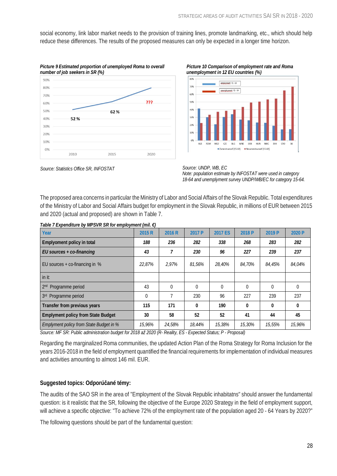social economy, link labor market needs to the provision of training lines, promote landmarking, etc., which should help reduce these differences. The results of the proposed measures can only be expected in a longer time horizon.



*Picture 10 Comparison of employment rate and Roma unemployment in 12 EU countries (%)*





*Source: UNDP, WB, EC Note: population estimate by INFOSTAT were used in category 18-64 and unemplyment survey UNDP/WB/EC for category 15-64.*

The proposed area concerns in particular the Ministry of Labor and Social Affairs of the Slovak Republic. Total expenditures of the Ministry of Labor and Social Affairs budget for employment in the Slovak Republic, in millions of EUR between 2015 and 2020 (actual and proposed) are shown in Table 7.

| Year                                      | 2015 R   | 2016 R      | 2017 P   | 2017 ES  | 2018 <sub>P</sub> | 2019 P   | 2020 P |
|-------------------------------------------|----------|-------------|----------|----------|-------------------|----------|--------|
| Emplyoment policy in total                | 188      | 236         | 282      | 338      | 268               | 283      | 282    |
| EU sources + co-financing                 | 43       |             | 230      | 96       | 227               | 239      | 237    |
| EU sources $+$ co-financing in $%$        | 22,87%   | 2,97%       | 81,56%   | 28,40%   | 84,70%            | 84,45%   | 84,04% |
| in it:                                    |          |             |          |          |                   |          |        |
| 2 <sup>nd</sup> Programme period          | 43       | $\mathbf 0$ | $\theta$ | $\theta$ | $\theta$          | $\theta$ | 0      |
| 3rd Programme period                      | $\theta$ |             | 230      | 96       | 227               | 239      | 237    |
| Transfer from previous years              | 115      | 171         | $\theta$ | 190      | $\theta$          | $\theta$ | 0      |
| <b>Emplyment policy from State Budget</b> | 30       | 58          | 52       | 52       | 41                | 44       | 45     |
| Emplyment policy from State Budget in %   | 15,96%   | 24,58%      | 18,44%   | 15,38%   | 15,30%            | 15,55%   | 15,96% |

*Table 7 Expenditure by MPSVR SR for employment (mil. €)*

*Source: MF SR: Public administration budget for 2018 až 2020 (R- Reality, ES - Expected Status; P - Proposal)*

Regarding the marginalized Roma communities, the updated Action Plan of the Roma Strategy for Roma Inclusion for the years 2016-2018 in the field of employment quantified the financial requirements for implementation of individual measures and activities amounting to almost 146 mil. EUR.

#### **Suggested topics: Odporúčané témy:**

The audits of the SAO SR in the area of "Employment of the Slovak Republic inhabitatns" should answer the fundamental question: is it realistic that the SR, following the objective of the Europe 2020 Strategy in the field of employment support, will achieve a specific objective: "To achieve 72% of the employment rate of the population aged 20 - 64 Years by 2020?"

The following questions should be part of the fundamental question: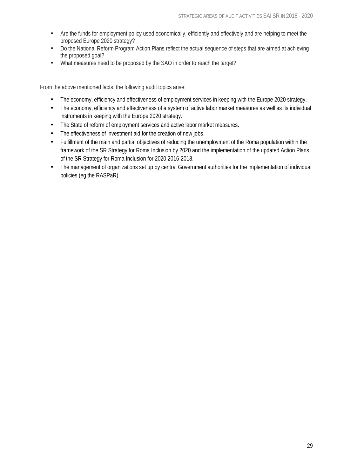- Are the funds for employment policy used economically, efficiently and effectively and are helping to meet the l, proposed Europe 2020 strategy?
- Do the National Reform Program Action Plans reflect the actual sequence of steps that are aimed at achieving ÷. the proposed goal?
- What measures need to be proposed by the SAO in order to reach the target?  $\blacksquare$

From the above mentioned facts, the following audit topics arise:

- l, The economy, efficiency and effectiveness of employment services in keeping with the Europe 2020 strategy.
- The economy, efficiency and effectiveness of a system of active labor market measures as well as its individual l. instruments in keeping with the Europe 2020 strategy.
- The State of reform of employment services and active labor market measures.  $\mathbf{r}$
- The effectiveness of investment aid for the creation of new jobs. l.
- Fulfillment of the main and partial objectives of reducing the unemployment of the Roma population within the t, framework of the SR Strategy for Roma Inclusion by 2020 and the implementation of the updated Action Plans of the SR Strategy for Roma Inclusion for 2020 2016-2018.
- The management of organizations set up by central Government authorities for the implementation of individual  $\overline{a}$ policies (eg the RASPaR).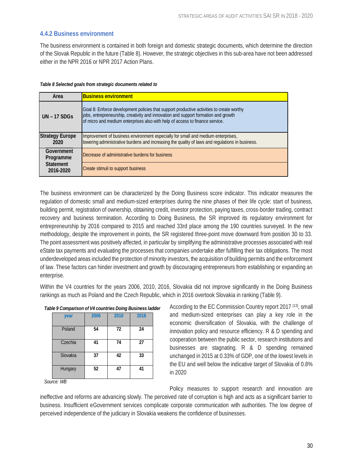#### **4.4.2 Business environment**

The business environment is contained in both foreign and domestic strategic documents, which determine the direction of the Slovak Republic in the future (Table 8). However, the strategic objectives in this sub-area have not been addressed either in the NPR 2016 or NPR 2017 Action Plans.

*Table 8 Selected goals from strategic documents related to*

| Area                           | <b>Business environment</b>                                                                                                                                                                                                                                    |
|--------------------------------|----------------------------------------------------------------------------------------------------------------------------------------------------------------------------------------------------------------------------------------------------------------|
| $UN - 17$ SDGs                 | Goal 8: Enforce development policies that support productive activities to create worthy<br>jobs, entrepreneurship, creativity and innovation and support formation and growth<br>of micro and medium enterprises also with help of access to finance service. |
| <b>Strategy Europe</b><br>2020 | Improvement of business environment especially for small and medium enterprises,<br>lowering administrative burdens and increasing the quality of laws and regulations in business.                                                                            |
| Government<br>Programme        | Decrease of administrative burdens for business                                                                                                                                                                                                                |
| <b>Statement</b><br>2016-2020  | Create stimuli to support business                                                                                                                                                                                                                             |

The business environment can be characterized by the Doing Business score indicator. This indicator measures the regulation of domestic small and medium-sized enterprises during the nine phases of their life cycle: start of business, building permit, registration of ownership, obtaining credit, investor protection, paying taxes, cross-border trading, contract recovery and business termination. According to Doing Business, the SR improved its regulatory environment for entrepreneurship by 2016 compared to 2015 and reached 33rd place among the 190 countries surveyed. In the new methodology, despite the improvement in points, the SR registered three-point move downward from position 30 to 33. The point assessment was positively affected, in particular by simplifying the administrative processes associated with real eState tax payments and evaluating the processes that companies undertake after fulfilling their tax obligations. The most underdeveloped areas included the protection of minority investors, the acquisition of building permits and the enforcement of law. These factors can hinder investment and growth by discouraging entrepreneurs from establishing or expanding an enterprise.

Within the V4 countries for the years 2006, 2010, 2016, Slovakia did not improve significantly in the Doing Business rankings as much as Poland and the Czech Republic, which in 2016 overtook Slovakia in ranking (Table 9).

| year     | 2006 | 2010 | 2016 |
|----------|------|------|------|
| Poland   | 54   | 72   | 24   |
| Czechia  | 41   | 74   | 27   |
| Slovakia | 37   | 42   | 33   |
| Hungary  | 52   | 47   | 41   |

*Table 9 Comparison of V4 countries Doing Business ladder*

*Source: WB*

According to the EC Commission Country report 2017 [13], small and medium-sized enterprises can play a key role in the economic diversification of Slovakia, with the challenge of innovation policy and resource efficiency. R & D spending and cooperation between the public sector, research institutions and businesses are stagnating. R & D spending remained unchanged in 2015 at 0.33% of GDP, one of the lowest levels in the EU and well below the indicative target of Slovakia of 0.8% in 2020

Policy measures to support research and innovation are ineffective and reforms are advancing slowly. The perceived rate of corruption is high and acts as a significant barrier to business. Insufficient eGovernment services complicate corporate communication with authorities. The low degree of perceived independence of the judiciary in Slovakia weakens the confidence of businesses.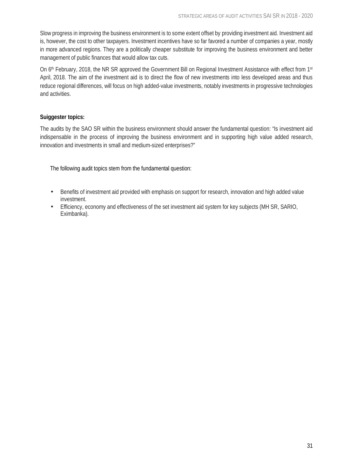Slow progress in improving the business environment is to some extent offset by providing investment aid. Investment aid is, however, the cost to other taxpayers. Investment incentives have so far favored a number of companies a year, mostly in more advanced regions. They are a politically cheaper substitute for improving the business environment and better management of public finances that would allow tax cuts.

On 6th February, 2018, the NR SR approved the Government Bill on Regional Investment Assistance with effect from 1st April, 2018. The aim of the investment aid is to direct the flow of new investments into less developed areas and thus reduce regional differences, will focus on high added-value investments, notably investments in progressive technologies and activities.

#### **Suiggester topics:**

The audits by the SAO SR within the business environment should answer the fundamental question: "Is investment aid indispensable in the process of improving the business environment and in supporting high value added research, innovation and investments in small and medium-sized enterprises?"

The following audit topics stem from the fundamental question:

- t. Benefits of investment aid provided with emphasis on support for research, innovation and high added value investment.
- Efficiency, economy and effectiveness of the set investment aid system for key subjects (MH SR, SARIO, k. Eximbanka).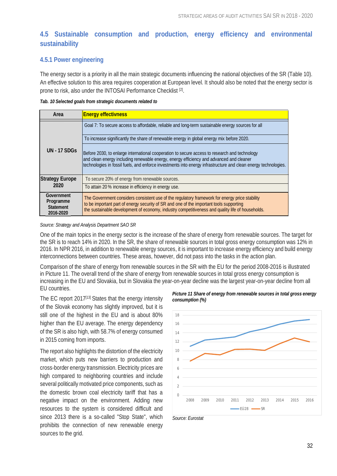# **4.5 Sustainable consumption and production, energy efficiency and environmental sustainability**

## **4.5.1 Power engineering**

The energy sector is a priority in all the main strategic documents influencing the national objectives of the SR (Table 10). An effective solution to this area requires cooperation at European level. It should also be noted that the energy sector is prone to risk, also under the INTOSAI Performance Checklist<sup>[2]</sup>.

#### *Tab. 10 Selected goals from strategic documents related to*

| Area                                                                      | <b>Energy effectivness</b>                                                                                                                                                                                                                                                                                  |  |  |  |  |
|---------------------------------------------------------------------------|-------------------------------------------------------------------------------------------------------------------------------------------------------------------------------------------------------------------------------------------------------------------------------------------------------------|--|--|--|--|
|                                                                           | Goal 7: To secure access to affordable, reliable and long-term sustainable energy sources for all                                                                                                                                                                                                           |  |  |  |  |
|                                                                           | To increase significantly the share of renewable energy in global energy mix before 2020.                                                                                                                                                                                                                   |  |  |  |  |
| <b>UN - 17 SDGs</b>                                                       | Before 2030, to enlarge international cooperation to secure access to research and technology<br>and clean energy including renewable energy, energy efficiency and advanced and cleaner<br>technologies in fossil fuels, and enforce investments into energy infrastructure and clean energy technologies. |  |  |  |  |
| <b>Strategy Europe</b><br>To secure 20% of energy from renewable sources. |                                                                                                                                                                                                                                                                                                             |  |  |  |  |
| 2020                                                                      | To attain 20 % increase in efficiency in energy use.                                                                                                                                                                                                                                                        |  |  |  |  |
| Government<br>Programme<br><b>Statement</b><br>2016-2020                  | The Government considers consistent use of the regulatory framework for energy price stability<br>to be important part of energy security of SR and one of the important tools supporting<br>the sustainable development of economy, industry competitiveness and quality life of households.               |  |  |  |  |

#### *Source: Strategy and Analysis Department SAO SR*

One of the main topics in the energy sector is the increase of the share of energy from renewable sources. The target for the SR is to reach 14% in 2020. In the SR, the share of renewable sources in total gross energy consumption was 12% in 2016. In NPR 2016, in addition to renewable energy sources, it is important to increase energy efficiency and build energy interconnections between countries. These areas, however, did not pass into the tasks in the action plan.

Comparison of the share of energy from renewable sources in the SR with the EU for the period 2008-2016 is illustrated in Picture 11. The overall trend of the share of energy from renewable sources in total gross energy consumption is increasing in the EU and Slovakia, but in Slovakia the year-on-year decline was the largest year-on-year decline from all EU countries.

The EC report 2017<sup>[13]</sup> States that the energy intensity of the Slovak economy has slightly improved, but it is still one of the highest in the EU and is about 80% higher than the EU average. The energy dependency of the SR is also high, with 58.7% of energy consumed in 2015 coming from imports.

The report also highlights the distortion of the electricity market, which puts new barriers to production and cross-border energy transmission. Electricity prices are high compared to neighboring countries and include several politically motivated price components, such as the domestic brown coal electricity tariff that has a negative impact on the environment. Adding new resources to the system is considered difficult and since 2013 there is a so-called "Stop State", which prohibits the connection of new renewable energy sources to the grid.





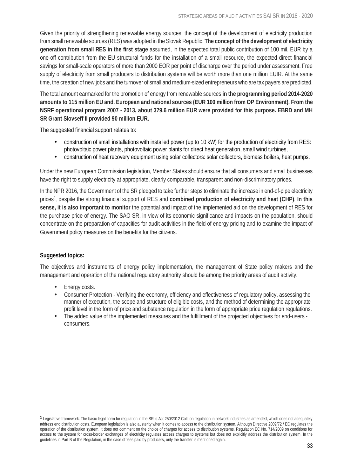Given the priority of strengthening renewable energy sources, the concept of the development of electricity production from small renewable sources (RES) was adopted in the Slovak Republic. **The concept of the development of electricity generation from small RES in the first stage** assumed, in the expected total public contribution of 100 mil. EUR by a one-off contribution from the EU structural funds for the installation of a small resource, the expected direct financial savings for small-scale operators of more than 2000 EOR per point of discharge over the period under assessment. Free supply of electricity from small producers to distribution systems will be worth more than one million EUIR. At the same time, the creation of new jobs and the turnover of small and medium-sized entrepreneurs who are tax payers are predicted.

The total amount earmarked for the promotion of energy from renewable sources **in the programming period 2014-2020 amounts to 115 million EU and. European and national sources (EUR 100 million from OP Environment). From the NSRF operational program 2007 - 2013, about 379.6 million EUR were provided for this purpose. EBRD and MH SR Grant Slovseff II provided 90 million EUR.**

The suggested financial support relates to:

- construction of small installations with installed power (up to 10 kW) for the production of electricity from RES: photovoltaic power plants, photovoltaic power plants for direct heat generation, small wind turbines,
- construction of heat recovery equipment using solar collectors: solar collectors, biomass boilers, heat pumps.

Under the new European Commission legislation, Member States should ensure that all consumers and small businesses have the right to supply electricity at appropriate, clearly comparable, transparent and non-discriminatory prices.

In the NPR 2016, the Government of the SR pledged to take further steps to eliminate the increase in end-of-pipe electricity prices<sup>3</sup> , despite the strong financial support of RES and **combined production of electricity and heat (CHP)**. **In this sense, it is also important to monitor** the potential and impact of the implemented aid on the development of RES for the purchase price of energy. The SAO SR, in view of its economic significance and impacts on the population, should concentrate on the preparation of capacities for audit activities in the field of energy pricing and to examine the impact of Government policy measures on the benefits for the citizens.

#### **Suggested topics:**

The objectives and instruments of energy policy implementation, the management of State policy makers and the management and operation of the national regulatory authority should be among the priority areas of audit activity.

- Energy costs.
- Consumer Protection Verifying the economy, efficiency and effectiveness of regulatory policy, assessing the manner of execution, the scope and structure of eligible costs, and the method of determining the appropriate profit level in the form of price and substance regulation in the form of appropriate price regulation regulations.
- The added value of the implemented measures and the fulfillment of the projected objectives for end-users consumers.

<sup>&</sup>lt;sup>3</sup> Legislative framework: The basic legal norm for regulation in the SR is Act 250/2012 Coll. on regulation in network industries as amended, which does not adequately address end distribution costs. European legislation is also austerity when it comes to access to the distribution system. Although Directive 2009/72 / EC regulates the operation of the distribution system, it does not comment on the choice of charges for access to distribution systems. Regulation EC No. 714/2009 on conditions for access to the system for cross-border exchanges of electricity regulates access charges to systems but does not explicitly address the distribution system. In the guidelines in Part B of the Regulation, in the case of fees paid by producers, only the transfer is mentioned again.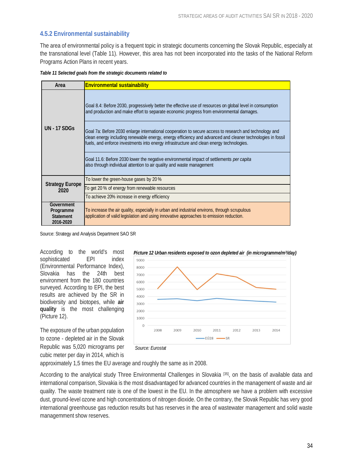## **4.5.2 Environmental sustainability**

The area of environmental policy is a frequent topic in strategic documents concerning the Slovak Republic, especially at the transnational level (Table 11). However, this area has not been incorporated into the tasks of the National Reform Programs Action Plans in recent years.

|  |  | Table 11 Selected goals from the strategic documents related to |  |
|--|--|-----------------------------------------------------------------|--|
|  |  |                                                                 |  |

| Area                                                     | <b>Environmental sustainability</b>                                                                                                                                                                                                                                                                              |
|----------------------------------------------------------|------------------------------------------------------------------------------------------------------------------------------------------------------------------------------------------------------------------------------------------------------------------------------------------------------------------|
| $UN - 17$ SDGs                                           | Goal 8.4: Before 2030, progressively better the effective use of resources on global level in consumption<br>and production and make effort to separate economic progress from environmental damages.                                                                                                            |
|                                                          | Goal 7a: Before 2030 enlarge international cooperation to secure access to research and technology and<br>clean energy including renewable energy, energy efficiency and advanced and cleaner technologies in fossil<br>fuels, and enforce investments into energy infrastructure and clean energy technologies. |
|                                                          | Goal 11.6: Before 2030 lower the negative environmental impact of settlements per capita<br>also through individual attention to air quality and waste management                                                                                                                                                |
|                                                          | To lower the green-house gases by 20%                                                                                                                                                                                                                                                                            |
| <b>Strategy Europe</b><br>2020                           | To get 20 % of energy from renewable resources                                                                                                                                                                                                                                                                   |
|                                                          | To achieve 20% increase in energy efficiency                                                                                                                                                                                                                                                                     |
| Government<br>Programme<br><b>Statement</b><br>2016-2020 | To increase the air quality, especially in urban and industrial environs, through scrupulous<br>application of valid legislation and using innovative approaches to emission reduction.                                                                                                                          |

Source: Strategy and Analysis Department SAO SR

According to the world's most sophisticated EPI index (Environmental Performance Index), Slovakia has the 24th best environment from the 180 countries surveyed. According to EPI, the best results are achieved by the SR in biodiversity and biotopes, while **air quality** is the most challenging (Picture 12).

The exposure of the urban population to ozone - depleted air in the Slovak Republic was 5,020 micrograms per cubic meter per day in 2014, which is



*Source: Eurostat*

approximately 1,5 times the EU average and roughly the same as in 2008.

According to the analytical study Three Environmental Challenges in Slovakia [35], on the basis of available data and international comparison, Slovakia is the most disadvantaged for advanced countries in the management of waste and air quality. The waste treatment rate is one of the lowest in the EU. In the atmosphere we have a problem with excessive dust, ground-level ozone and high concentrations of nitrogen dioxide. On the contrary, the Slovak Republic has very good international greenhouse gas reduction results but has reserves in the area of wastewater management and solid waste managemment show reserves.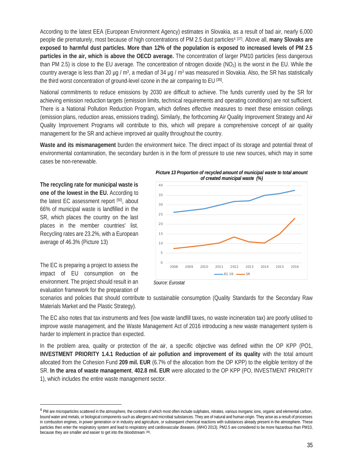According to the latest EEA (European Environment Agency) estimates in Slovakia, as a result of bad air, nearly 6,000 people die prematurely, most because of high concentrations of PM 2.5 dust particles<sup>4</sup> [37]. Above all, **many Slovaks are exposed to harmful dust particles. More than 12% of the population is exposed to increased levels of PM 2.5 particles in the air, which is above the OECD average.** The concentration of larger PM10 particles (less dangerous than PM 2.5) is close to the EU average. The concentration of nitrogen dioxide ( $NO<sub>2</sub>$ ) is the worst in the EU. While the country average is less than 20 μg / m<sup>3</sup>, a median of 34 μg / m<sup>3</sup> was measured in Slovakia. Also, the SR has statistically the third worst concentration of ground-level ozone in the air comparing to EU [35].

National commitments to reduce emissions by 2030 are difficult to achieve. The funds currently used by the SR for achieving emission reduction targets (emission limits, technical requirements and operating conditions) are not sufficient. There is a National Pollution Reduction Program, which defines effective measures to meet these emission ceilings (emission plans, reduction areas, emissions trading). Similarly, the forthcoming Air Quality Improvement Strategy and Air Quality Improvement Programs will contribute to this, which will prepare a comprehensive concept of air quality management for the SR and achieve improved air quality throughout the country.

**Waste and its mismanagement** burden the environment twice. The direct impact of its storage and potential threat of environmental contamination, the secondary burden is in the form of pressure to use new sources, which may in some cases be non-renewable.

**The recycling rate for municipal waste is one of the lowest in the EU.** According to the latest EC assessment report [50], about 66% of municipal waste is landfilled in the SR, which places the country on the last places in the member countries' list. Recycling rates are 23.2%, with a European average of 46.3% (Picture 13)

The EC is preparing a project to assess the impact of EU consumption on the environment. The project should result in an evaluation framework for the preparation of

*Picture 13 Proportion of recycled amount of municipal waste to total amount of created municipal waste (%)*



*Source: Eurostat*

scenarios and policies that should contribute to sustainable consumption (Quality Standards for the Secondary Raw Materials Market and the Plastic Strategy).

The EC also notes that tax instruments and fees (low waste landfill taxes, no waste incineration tax) are poorly utilised to improve waste management, and the Waste Management Act of 2016 introducing a new waste management system is harder to implement in practice than expected.

In the problem area, quality or protection of the air, a specific objective was defined within the OP KPP (PO1, **INVESTMENT PRIORITY 1.4.1 Reduction of air pollution and improvement of its quality** with the total amount allocated from the Cohesion Fund **209 mil. EUR** (6.7% of the allocation from the OP KPP) to the eligible territory of the SR. **In the area of waste management**, **402.8 mil. EUR** were allocated to the OP KPP (PO, INVESTMENT PRIORITY 1), which includes the entire waste management sector.

<sup>&</sup>lt;sup>4</sup> PM are microparticles scattered in the atmosphere, the contents of which most often include sulphates, nitrates, various inorganic ions, organic and elemental carbon, bound water and metals, or biological components such as allergens and microbial substances. They are of natural and human origin. They arise as a result of processes in combustion engines, in power generation or in industry and agriculture, or subsequent chemical reactions with substances already present in the atmosphere. These particles then enter the respiratory system and lead to respiratory and cardiovascular diseases. (WHO 2013). PM2.5 are considered to be more hazardous than PM10, because they are smaller and easier to get into the bloodstream [36].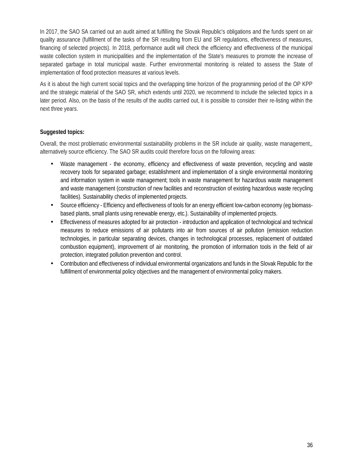In 2017, the SAO SA carried out an audit aimed at fulfilling the Slovak Republic's obligations and the funds spent on air quality assurance (fulfillment of the tasks of the SR resulting from EU and SR regulations, effectiveness of measures, financing of selected projects). In 2018, performance audit will check the efficiency and effectiveness of the municipal waste collection system in municipalities and the implementation of the State's measures to promote the increase of separated garbage in total municipal waste. Further environmental monitoring is related to assess the State of implementation of flood protection measures at various levels.

As it is about the high current social topics and the overlapping time horizon of the programming period of the OP KPP and the strategic material of the SAO SR, which extends until 2020, we recommend to include the selected topics in a later period. Also, on the basis of the results of the audits carried out, it is possible to consider their re-listing within the next three years.

#### **Suggested topics:**

Overall, the most problematic environmental sustainability problems in the SR include air quality, waste management,, alternatively source efficiency. The SAO SR audits could therefore focus on the following areas:

- Waste management the economy, efficiency and effectiveness of waste prevention, recycling and waste recovery tools for separated garbage; establishment and implementation of a single environmental monitoring and information system in waste management; tools in waste management for hazardous waste management and waste management (construction of new facilities and reconstruction of existing hazardous waste recycling facilities). Sustainability checks of implemented projects.
- Source efficiency Efficiency and effectiveness of tools for an energy efficient low-carbon economy (eg biomassbased plants, small plants using renewable energy, etc.). Sustainability of implemented projects.
- Effectiveness of measures adopted for air protection introduction and application of technological and technical  $\ddot{\phantom{a}}$ measures to reduce emissions of air pollutants into air from sources of air pollution (emission reduction technologies, in particular separating devices, changes in technological processes, replacement of outdated combustion equipment), improvement of air monitoring, the promotion of information tools in the field of air protection, integrated pollution prevention and control.
- Contribution and effectiveness of individual environmental organizations and funds in the Slovak Republic for the fulfillment of environmental policy objectives and the management of environmental policy makers.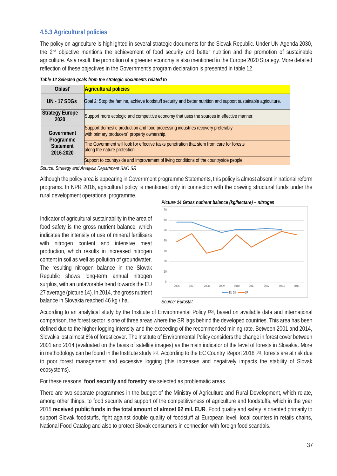## **4.5.3 Agricultural policies**

The policy on agriculture is highlighted in several strategic documents for the Slovak Republic. Under UN Agenda 2030, the 2<sup>nd</sup> objective mentions the achievement of food security and better nutrition and the promotion of sustainable agriculture. As a result, the promotion of a greener economy is also mentioned in the Europe 2020 Strategy. More detailed reflection of these objectives in the Government's program declaration is presented in table 12.

| Oblast'                                           | <b>Agricultural policies</b>                                                                                                  |
|---------------------------------------------------|-------------------------------------------------------------------------------------------------------------------------------|
| <b>UN-17 SDGS</b>                                 | Goal 2: Stop the famine, achieve foodstuff security and better nutrition and support sustainable agriculture.                 |
| <b>Strategy Europe</b><br>2020                    | Support more ecologic and competitive economy that uses the sources in effective manner.                                      |
| Government<br>Programme<br>Statement<br>2016-2020 | Support domestic production and food processing industries recovery preferably<br>with primary producers' property ownership. |
|                                                   | The Government will look for effective tasks penetration that stem from care for forests<br>along the nature protection.      |
|                                                   | Support to countryside and improvement of living conditions of the countryside people.                                        |

*Table 12 Selected goals from the strategic documents related to*

*Source: Strategy and Analysis Department SAO SR*

Although the policy area is appearing in Government programme Statements, this policy is almost absent in national reform programs. In NPR 2016, agricultural policy is mentioned only in connection with the drawing structural funds under the rural development operational programme.

Indicator of agricultural sustainability in the area of food safety is the gross nutrient balance, which indicates the intensity of use of mineral fertilisers with nitrogen content and intensive meat production, which results in increased nitrogen content in soil as well as pollution of groundwater. The resulting nitrogen balance in the Slovak Republic shows long-term annual nitrogen surplus, with an unfavorable trend towards the EU 27 average (picture 14). In 2014, the gross nutrient balance in Slovakia reached 46 kg / ha.

*Picture 14 Gross nutirent balance (kg/hectare) – nitrogen*





According to an analytical study by the Institute of Environmental Policy [35], based on available data and international comparison, the forest sector is one of three areas where the SR lags behind the developed countries. This area has been defined due to the higher logging intensity and the exceeding of the recommended mining rate. Between 2001 and 2014, Slovakia lost almost 6% of forest cover. The Institute of Environmental Policy considers the change in forest cover between 2001 and 2014 (evaluated on the basis of satellite images) as the main indicator of the level of forests in Slovakia. More in methodology can be found in the Institute study [35]. According to the EC Country Report 2018 [50], forests are at risk due to poor forest management and excessive logging (this increases and negatively impacts the stability of Slovak ecosystems).

For these reasons, **food security and forestry** are selected as problematic areas.

There are two separate programmes in the budget of the Ministry of Agriculture and Rural Development, which relate, among other things, to food security and support of the competitiveness of agriculture and foodstuffs, which in the year 2015 **received public funds in the total amount of almost 62 mil. EUR**. Food quality and safety is oriented primarily to support Slovak foodstuffs, fight against double quality of foodstuff at European level, local counters in retails chains, National Food Catalog and also to protect Slovak consumers in connection with foreign food scandals.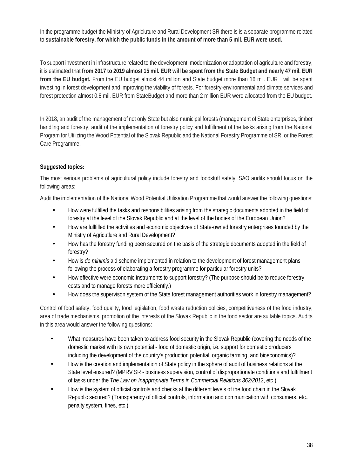In the programme budget the Ministry of Agricluture and Rural Development SR there is is a separate programme related to **sustainable forestry, for which the public funds in the amount of more than 5 mil. EUR were used.**

To support investment in infrastructure related to the development, modernization or adaptation of agriculture and forestry, it is estimated that **from 2017 to 2019 almost 15 mil. EUR will be spent from the State Budget and nearly 47 mil. EUR from the EU budget.** From the EU budget almost 44 million and State budget more than 16 mil. EUR will be spent investing in forest development and improving the viability of forests. For forestry-environmental and climate services and forest protection almost 0.8 mil. EUR from StateBudget and more than 2 million EUR were allocated from the EU budget.

In 2018, an audit of the management of not only State but also municipal forests (management of State enterprises, timber handling and forestry, audit of the implementation of forestry policy and fulfillment of the tasks arising from the National Program for Utilizing the Wood Potential of the Slovak Republic and the National Forestry Programme of SR, or the Forest Care Programme.

## **Suggested topics:**

The most serious problems of agricultural policy include forestry and foodstuff safety. SAO audits should focus on the following areas:

Audit the implementation of the National Wood Potential Utilisation Programme that would answer the following questions:

- How were fulfilled the tasks and responsibilities arising from the strategic documents adopted in the field of forestry at the level of the Slovak Republic and at the level of the bodies of the European Union?
- How are fullfilled the activities and economic objectives of State-owned forestry enterprises founded by the Ministry of Agricutlure and Rural Development?
- How has the forestry funding been secured on the basis of the strategic documents adopted in the field of forestry?
- How is *de minimis* aid scheme implemented in relation to the development of forest management plans following the process of elaborating a forestry programme for particular forestry units?
- How effective were economic instruments to support forestry? (The purpose should be to reduce forestry costs and to manage forests more efficiently.)
- How does the supervison system of the State forest management authorities work in forestry management? L.

Control of food safety, food quality, food legislation, food waste reduction policies, competitiveness of the food industry, area of trade mechanisms, promotion of the interests of the Slovak Republic in the food sector are suitable topics. Audits in this area would answer the following questions:

- $\mathbf{r}$ What measures have been taken to address food security in the Slovak Republic (covering the needs of the domestic market with its own potential - food of domestic origin, i.e. support for domestic producers including the development of the country's production potential, organic farming, and bioeconomics)?
- How is the creation and implementation of State policy in the sphere of audit of business relations at the ÷. State level ensured? (MPRV SR - business supervision, control of disproportionate conditions and fulfillment of tasks under the *The Law on Inappropriate Terms in Commercial Relations 362/2012*, etc.)
- How is the system of official controls and checks at the different levels of the food chain in the Slovak Republic secured? (Transparency of official controls, information and communication with consumers, etc., penalty system, fines, etc.)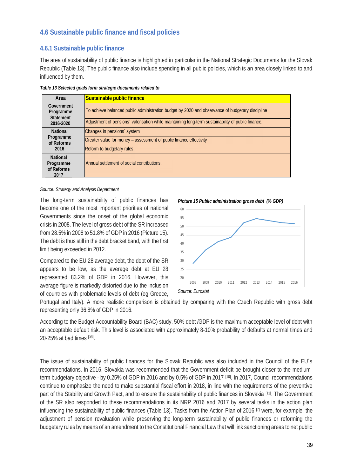# **4.6 Sustainable public finance and fiscal policies**

## **4.6.1 Sustainable public finance**

The area of sustainability of public finance is highlighted in particular in the National Strategic Documents for the Slovak Republic (Table 13). The public finance also include spending in all public policies, which is an area closely linked to and influenced by them.

| Area                                               | Sustainable public finance                                                                         |
|----------------------------------------------------|----------------------------------------------------------------------------------------------------|
| Government<br>Programme<br><b>Statement</b>        | To achieve balanced public administration budget by 2020 and observance of budgetary discipline    |
| 2016-2020                                          | Adjustment of pensions 'valorisation while maintaining long-term sustainability of public finance. |
| National                                           | Changes in pensions system                                                                         |
| Programme<br>of Reforms                            | Greater value for money - assessment of public finance effectivity                                 |
| 2016                                               | Reform to budgetary rules.                                                                         |
| <b>National</b><br>Programme<br>of Reforms<br>2017 | Annual settlement of social contributions.                                                         |

*Table 13 Selected goals form strategic documents related to*

#### *Source: Strategy and Analysis Department*

The long-term sustainability of public finances has become one of the most important priorities of national Governments since the onset of the global economic crisis in 2008. The level of gross debt of the SR increased from 28.5% in 2008 to 51.8% of GDP in 2016 (Picture 15). The debt is thus still in the debt bracket band, with the first limit being exceeded in 2012.

Compared to the EU 28 average debt, the debt of the SR appears to be low, as the average debt at EU 28 represented 83.2% of GDP in 2016. However, this average figure is markedly distorted due to the inclusion of countries with problematic levels of debt (eg Greece,



Portugal and Italy). A more realistic comparison is obtained by comparing with the Czech Republic with gross debt representing only 36.8% of GDP in 2016.

According to the Budget Accountability Board (BAC) study, 50% debt /GDP is the maximum acceptable level of debt with an acceptable default risk. This level is associated with approximately 8-10% probability of defaults at normal times and 20-25% at bad times [38].

The issue of sustainability of public finances for the Slovak Republic was also included in the Council of the EU´s recommendations. In 2016, Slovakia was recommended that the Government deficit be brought closer to the mediumterm budgetary objective - by 0.25% of GDP in 2016 and by 0.5% of GDP in 2017 [10]. In 2017, Council recommendations continue to emphasize the need to make substantial fiscal effort in 2018, in line with the requirements of the preventive part of the Stability and Growth Pact, and to ensure the sustainability of public finances in Slovakia [11]. The Government of the SR also responded to these recommendations in its NRP 2016 and 2017 by several tasks in the action plan influencing the sustainability of public finances (Table 13). Tasks from the Action Plan of 2016 [7] were, for example, the adjustment of pension revaluation while preserving the long-term sustainability of public finances or reforming the budgetary rules by means of an amendment to the Constitutional Financial Law that will link sanctioning areas to net public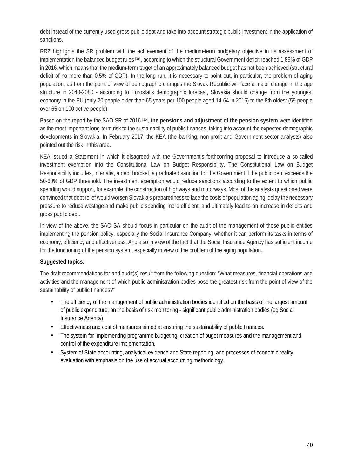debt instead of the currently used gross public debt and take into account strategic public investment in the application of sanctions.

RRZ highlights the SR problem with the achievement of the medium-term budgetary objective in its assessment of implementation the balanced budget rules [39], according to which the structural Government deficit reached 1.89% of GDP in 2016, which means that the medium-term target of an approximately balanced budget has not been achieved (structural deficit of no more than 0.5% of GDP). In the long run, it is necessary to point out, in particular, the problem of aging population, as from the point of view of demographic changes the Slovak Republic will face a major change in the age structure in 2040-2080 - according to Eurostat's demographic forecast, Slovakia should change from the youngest economy in the EU (only 20 people older than 65 years per 100 people aged 14-64 in 2015) to the 8th oldest (59 people over 65 on 100 active people).

Based on the report by the SAO SR of 2016 [15] , **the pensions and adjustment of the pension system** were identified as the most important long-term risk to the sustainability of public finances, taking into account the expected demographic developments in Slovakia. In February 2017, the KEA (the banking, non-profit and Government sector analysts) also pointed out the risk in this area.

KEA issued a Statement in which it disagreed with the Government's forthcoming proposal to introduce a so-called investment exemption into the Constitutional Law on Budget Responsibility. The Constitutional Law on Budget Responsibility includes, inter alia, a debt bracket, a graduated sanction for the Government if the public debt exceeds the 50-60% of GDP threshold. The investment exemption would reduce sanctions according to the extent to which public spending would support, for example, the construction of highways and motorways. Most of the analysts questioned were convinced that debt relief would worsen Slovakia's preparedness to face the costs of population aging, delay the necessary pressure to reduce wastage and make public spending more efficient, and ultimately lead to an increase in deficits and gross public debt.

In view of the above, the SAO SA should focus in particular on the audit of the management of those public entities implementing the pension policy, especially the Social Insurance Company, whether it can perform its tasks in terms of economy, efficiency and effectiveness. And also in view of the fact that the Social Insurance Agency has sufficient income for the functioning of the pension system, especially in view of the problem of the aging population.

#### **Suggested topics:**

The draft recommendations for and audit(s) result from the following question: "What measures, financial operations and activities and the management of which public administration bodies pose the greatest risk from the point of view of the sustainability of public finances?"

- The efficiency of the management of public administration bodies identified on the basis of the largest amount t, of public expenditure, on the basis of risk monitoring - significant public administration bodies (eg Social Insurance Agency).
- Effectiveness and cost of measures aimed at ensuring the sustainability of public finances.  $\mathbf{r}$
- The system for implementing programme budgeting, creation of buget measures and the management and control of the expenditure implementation.
- System of State accounting, analytical evidence and State reporting, and processes of economic reality  $\mathbf{r}$ evaluation with emphasis on the use of accrual accounting methodology.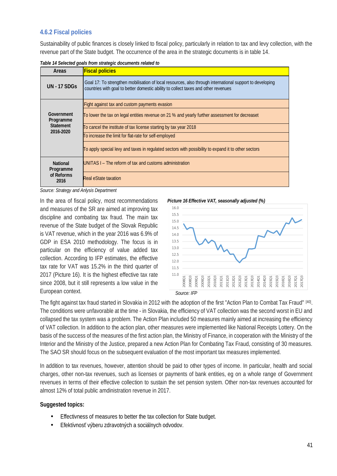## **4.6.2 Fiscal policies**

Sustainability of public finances is closely linked to fiscal policy, particularly in relation to tax and levy collection, with the revenue part of the State budget. The occurrence of the area in the strategic documents is in table 14.

| Areas                         | <b>Fiscal policies</b>                                                                                                                                                                         |
|-------------------------------|------------------------------------------------------------------------------------------------------------------------------------------------------------------------------------------------|
| <b>UN-17 SDGs</b>             | Goal 17: To strengthen mobilisation of local resources, also through international support to developing<br>countries with goal to better domestic ability to collect taxes and other revenues |
|                               | Fight against tax and custom payments evasion                                                                                                                                                  |
| Government<br>Programme       | To lower the tax on legal entities revenue on 21 % and yearly further assessment for decreaset                                                                                                 |
| <b>Statement</b><br>2016-2020 | To cancel the institute of tax license starting by tax year 2018                                                                                                                               |
|                               | To increase the limit for flat-rate for self-employed                                                                                                                                          |
|                               | To apply special levy and taxes in regulated sectors with possibility to expand it to other sectors                                                                                            |
| National<br>Programme         | UNITAS I – The reform of tax and customs administration                                                                                                                                        |
| of Reforms<br>2016            | <b>Real eState taxation</b>                                                                                                                                                                    |

*Table 14 Selected goals from strategic documents related to*

*Source: Strategy and Anlysis Department*

In the area of fiscal policy, most recommendations and measures of the SR are aimed at improving tax discipline and combating tax fraud. The main tax revenue of the State budget of the Slovak Republic is VAT revenue, which in the year 2016 was 6.9% of GDP in ESA 2010 methodology. The focus is in particular on the efficiency of value added tax collection. According to IFP estimates, the effective tax rate for VAT was 15.2% in the third quarter of 2017 (Picture 16). It is the highest effective tax rate since 2008, but it still represents a low value in the European context.

*Picture 16 Effective VAT, seasonally adjusted (%)*





The fight against tax fraud started in Slovakia in 2012 with the adoption of the first "Action Plan to Combat Tax Fraud" [40]. The conditions were unfavorable at the time - in Slovakia, the efficiency of VAT collection was the second worst in EU and collapsed the tax system was a problem. The Action Plan included 50 measures mainly aimed at increasing the efficiency of VAT collection. In addition to the action plan, other measures were implemented like National Receipts Lottery. On the basis of the success of the measures of the first action plan, the Ministry of Finance, in cooperation with the Ministry of the Interior and the Ministry of the Justice, prepared a new Action Plan for Combating Tax Fraud, consisting of 30 measures. The SAO SR should focus on the subsequent evaluation of the most important tax measures implemented.

In addition to tax revenues, however, attention should be paid to other types of income. In particular, health and social charges, other non-tax revenues, such as licenses or payments of bank entities, eg on a whole range of Government revenues in terms of their effective collection to sustain the set pension system. Other non-tax revenues accounted for almost 12% of total public amdinistration revenue in 2017.

**Suggested topics:**

- Effectivness of measures to better the tax collection for State budget.
- Efektívnosť výberu zdravotných a sociálnych odvodov.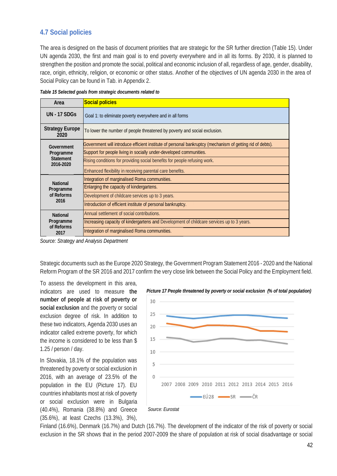## **4.7 Social policies**

The area is designed on the basis of document priorities that are strategic for the SR further direction (Table 15). Under UN agenda 2030, the first and main goal is to end poverty everywhere and in all its forms. By 2030, it is planned to strengthen the position and promote the social, political and economic inclusion of all, regardless of age, gender, disability, race, origin, ethnicity, religion, or economic or other status. Another of the objectives of UN agenda 2030 in the area of Social Policy can be found in Tab. in Appendix 2.

| Area                            | Social policies                                                                                           |  |  |  |  |  |
|---------------------------------|-----------------------------------------------------------------------------------------------------------|--|--|--|--|--|
| <b>UN - 17 SDGs</b>             | Goal 1: to eliminate poverty everywhere and in all forms                                                  |  |  |  |  |  |
| <b>Strategy Europe</b><br>2020  | To lower the number of people threatened by poverty and social exclusion.                                 |  |  |  |  |  |
| Government                      | Government will introduce efficient institute of personal bankruptcy (mechanism of getting rid of debts). |  |  |  |  |  |
| Programme                       | Support for people living in socially under-developed communities.                                        |  |  |  |  |  |
| <b>Statement</b><br>2016-2020   | Rising conditions for providing social benefits for people refusing work.                                 |  |  |  |  |  |
|                                 | Enhanced flexibility in receiving parental care benefits.                                                 |  |  |  |  |  |
| National                        | Integration of marginalised Roma communities.                                                             |  |  |  |  |  |
| Programme                       | Enlarging the capacity of kindergartens.                                                                  |  |  |  |  |  |
| of Reforms                      | Development of childcare services up to 3 years.                                                          |  |  |  |  |  |
| 2016                            | Introduction of efficient institute of personal bankruptcy.                                               |  |  |  |  |  |
| <b>National</b>                 | Annual settlement of social contributions.                                                                |  |  |  |  |  |
| Programme<br>of Reforms<br>2017 | Increasing capacity of kindergartens and Development of childcare services up to 3 years.                 |  |  |  |  |  |
|                                 | Integration of marginalised Roma communities.                                                             |  |  |  |  |  |

|  |  |  | Table 15 Selected goals from strategic documents related to |  |
|--|--|--|-------------------------------------------------------------|--|

*Source: Strategy and Analysis Department*

Strategic documents such as the Europe 2020 Strategy, the Government Program Statement 2016 - 2020 and the National Reform Program of the SR 2016 and 2017 confirm the very close link between the Social Policy and the Employment field.

To assess the development in this area, indicators are used to measure **the number of people at risk of poverty or social exclusion** and the poverty or social exclusion degree of risk. In addition to these two indicators, Agenda 2030 uses an indicator called extreme poverty, for which the income is considered to be less than \$ 1.25 / person / day.

In Slovakia, 18.1% of the population was threatened by poverty or social exclusion in 2016, with an average of 23.5% of the population in the EU (Picture 17). EU countries inhabitants most at risk of poverty or social exclusion were in Bulgaria (40.4%), Romania (38.8%) and Greece (35.6%), at least Czechs (13.3%), 3%),



Finland (16.6%), Denmark (16.7%) and Dutch (16.7%). The development of the indicator of the risk of poverty or social exclusion in the SR shows that in the period 2007-2009 the share of population at risk of social disadvantage or social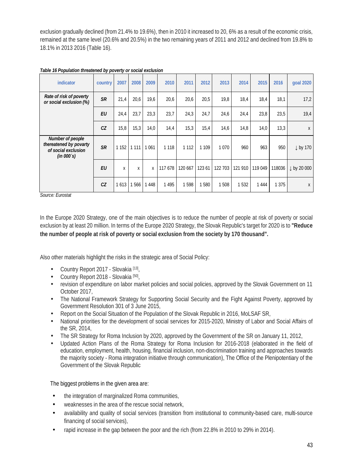exclusion gradually declined (from 21.4% to 19.6%), then in 2010 it increased to 20, 6% as a result of the economic crisis, remained at the same level (20.6% and 20.5%) in the two remaining years of 2011 and 2012 and declined from 19.8% to 18.1% in 2013 2016 (Table 16).

| indicator                                                                       | country   | 2007    | 2008    | 2009    | 2010    | 2011    | 2012    | 2013    | 2014    | 2015    | 2016   | goal 2020              |
|---------------------------------------------------------------------------------|-----------|---------|---------|---------|---------|---------|---------|---------|---------|---------|--------|------------------------|
| Rate of risk of poverty<br>or social exclusion (%)                              | <b>SR</b> | 21,4    | 20,6    | 19,6    | 20,6    | 20,6    | 20,5    | 19,8    | 18,4    | 18,4    | 18,1   | 17,2                   |
|                                                                                 | <b>EU</b> | 24,4    | 23,7    | 23,3    | 23,7    | 24,3    | 24,7    | 24,6    | 24,4    | 23,8    | 23,5   | 19,4                   |
|                                                                                 | CZ        | 15,8    | 15,3    | 14,0    | 14,4    | 15,3    | 15,4    | 14,6    | 14,8    | 14,0    | 13,3   | X                      |
| Number of people<br>thereatened by povarty<br>of social exclusion<br>(in 000 s) | <b>SR</b> | 1 1 5 2 | 1 1 1 1 | 1 0 6 1 | 1 1 1 8 | 1 1 1 2 | 1 1 0 9 | 1070    | 960     | 963     | 950    | ↓ by 170               |
|                                                                                 | <b>EU</b> | X       | X       | X       | 117 678 | 120 667 | 123 61  | 122 703 | 121 910 | 119 049 | 118036 | $\downarrow$ by 20 000 |
|                                                                                 | CZ        | 613     | 566     | 1448    | 1495    | 1598    | 580     | 1508    | 1532    | 444     | 1 375  | X                      |

#### *Table 16 Population threatened by poverty or social exclusion*

*Source: Eurostat*

In the Europe 2020 Strategy, one of the main objectives is to reduce the number of people at risk of poverty or social exclusion by at least 20 million. In terms of the Europe 2020 Strategy, the Slovak Republic's target for 2020 is to **"Reduce the number of people at risk of poverty or social exclusion from the society by 170 thousand".**

Also other materials highlight the risks in the strategic area of Social Policy:

- Country Report 2017 Slovakia [13],
- $\mathbf{r}$ Country Report 2018 - Slovakia [50],
- revision of expenditure on labor market policies and social policies, approved by the Slovak Government on 11 October 2017,
- The National Framework Strategy for Supporting Social Security and the Fight Against Poverty, approved by ÷. Government Resolution 301 of 3 June 2015,
- Report on the Social Situation of the Population of the Slovak Republic in 2016, MoLSAF SR,
- National priorities for the development of social services for 2015-2020, Ministry of Labor and Social Affairs of the SR, 2014,
- The SR Strategy for Roma Inclusion by 2020, approved by the Government of the SR on January 11, 2012,
- Updated Action Plans of the Roma Strategy for Roma Inclusion for 2016-2018 (elaborated in the field of education, employment, health, housing, financial inclusion, non-discrimination training and approaches towards the majority society - Roma integration initiative through communication), The Office of the Plenipotentiary of the Government of the Slovak Republic

The biggest problems in the given area are:

- the integration of marginalized Roma communities,
- weaknesses in the area of the rescue social network,
- availability and quality of social services (transition from institutional to community-based care, multi-source financing of social services),
- rapid increase in the gap between the poor and the rich (from 22.8% in 2010 to 29% in 2014).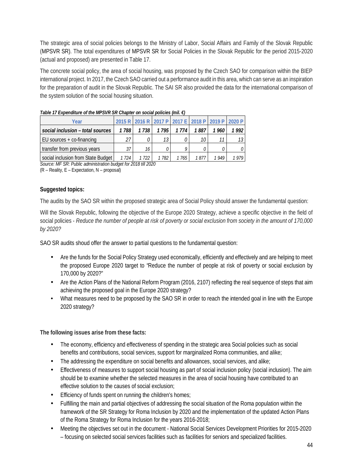The strategic area of social policies belongs to the Ministry of Labor, Social Affairs and Family of the Slovak Republic (MPSVR SR). The total expenditures of MPSVR SR for Social Policies in the Slovak Republic for the period 2015-2020 (actual and proposed) are presented in Table 17.

The concrete social policy, the area of social housing, was proposed by the Czech SAO for comparison within the BIEP international project. In 2017, the Czech SAO carried out a performance audit in this area, which can serve as an inspiration for the preparation of audit in the Slovak Republic. The SAI SR also provided the data for the international comparison of the system solution of the social housing situation.

| Table T/ Experimente of the MP SVR SR Chapter Off Social policies (fill). Ef |         |                                                  |         |         |       |       |      |
|------------------------------------------------------------------------------|---------|--------------------------------------------------|---------|---------|-------|-------|------|
| Year                                                                         |         | 2015 R 2016 R 2017 P 2017 E 2018 P 2019 P 2020 P |         |         |       |       |      |
| social inclusion – total sources                                             | 788     | 1 7 3 8                                          | 1 7 9 5 | 1 7 7 4 | 1887  | 1 960 | 1992 |
| EU sources $+$ co-financing                                                  | 27      |                                                  | 13      |         | 10    |       |      |
| transfer from previous years                                                 | 37      | 16                                               |         |         |       |       |      |
| social inclusion from State Budget                                           | 1 7 2 4 | 1 7 2 2                                          | 1 782   | 1765    | 1 877 | 1 949 | 979  |

*Table 17 Expenditure of the MPSVR SR Chapter on social policies (mil. €)*

*Source: MF SR: Public administration budget for 2018 till 2020*

 $(R - Reality, E - Expectation, N - proposal)$ 

#### **Suggested topics:**

The audits by the SAO SR within the proposed strategic area of Social Policy should answer the fundamental question:

Will the Slovak Republic, following the objective of the Europe 2020 Strategy, achieve a specific objective in the field of social policies - *Reduce the number of people at risk of poverty or social exclusion from society in the amount of 170,000 by 2020?*

SAO SR audits shoud offer the answer to partial questions to the fundamental question:

- Are the funds for the Social Policy Strategy used economically, efficiently and effectively and are helping to meet ä, the proposed Europe 2020 target to "Reduce the number of people at risk of poverty or social exclusion by 170,000 by 2020?"
- Are the Action Plans of the National Reform Program (2016, 2107) reflecting the real sequence of steps that aim achieving the proposed goal in the Europe 2020 strategy?
- What measures need to be proposed by the SAO SR in order to reach the intended goal in line with the Europe  $\mathcal{L}^{\mathcal{L}}$ 2020 strategy?

**The following issues arise from these facts:**

- The economy, efficiency and effectiveness of spending in the strategic area Social policies such as social benefits and contributions, social services, support for marginalized Roma communities, and alike;
- The addressing the expenditure on social benefits and allowances, social services, and alike;
- Effectiveness of measures to support social housing as part of social inclusion policy (social inclusion). The aim should be to examine whether the selected measures in the area of social housing have contributed to an effective solution to the causes of social exclusion;
- Efficiency of funds spent on running the children's homes;
- Fulfilling the main and partial objectives of addressing the social situation of the Roma population within the framework of the SR Strategy for Roma Inclusion by 2020 and the implementation of the updated Action Plans of the Roma Strategy for Roma Inclusion for the years 2016-2018;
- Meeting the objectives set out in the document National Social Services Development Priorities for 2015-2020 – focusing on selected social services facilities such as facilities for seniors and specialized facilities.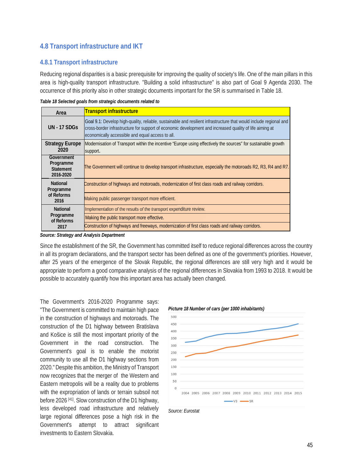# **4.8 Transport infrastructure and IKT**

## **4.8.1 Transport infrastructure**

Reducing regional disparities is a basic prerequisite for improving the quality of society's life. One of the main pillars in this area is high-quality transport infrastructure. "Building a solid infrastructure" is also part of Goal 9 Agenda 2030. The occurrence of this priority also in other strategic documents important for the SR is summarised in Table 18.

| Area                                                     | <b>Transport infrastructure</b>                                                                                                                                                                                                                                                   |
|----------------------------------------------------------|-----------------------------------------------------------------------------------------------------------------------------------------------------------------------------------------------------------------------------------------------------------------------------------|
| <b>UN-17 SDGs</b>                                        | Goal 9.1: Develop high-quality, reliable, sustainable and resilient infrastructure that would include regional and<br>cross-border infrastructure for support of economic development and increased quality of life aiming at<br>economically accessible and equal access to all. |
| <b>Strategy Europe</b><br>2020                           | Modernisation of Transport within the incentive "Europe using effectively the sources" for sustainable growth<br>support.                                                                                                                                                         |
| Government<br>Programme<br><b>Statement</b><br>2016-2020 | The Government will continue to develop transport infrastructure, especially the motoroads R2, R3, R4 and R7.                                                                                                                                                                     |
| <b>National</b><br>Programme                             | Construction of highways and motoroads, modernization of first class roads and railway corridors.                                                                                                                                                                                 |
| of Reforms<br>2016                                       | Making public passenger transport more efficient.                                                                                                                                                                                                                                 |
| <b>National</b>                                          | Implementation of the results of the transport expenditure review.                                                                                                                                                                                                                |
| Programme<br>of Reforms                                  | Making the public transport more effective.                                                                                                                                                                                                                                       |
| 2017                                                     | Construction of highways and freeways, modernization of first class roads and railway corridors.                                                                                                                                                                                  |

*Table 18 Selected goals from strategic documents related to*

*Source: Strategy and Analysis Department*

Since the establishment of the SR, the Government has committed itself to reduce regional differences across the country in all its program declarations, and the transport sector has been defined as one of the government's priorities. However, after 25 years of the emergence of the Slovak Republic, the regional differences are still very high and it would be appropriate to perform a good comparative analysis of the regional differences in Slovakia from 1993 to 2018. It would be possible to accurately quantify how this important area has actually been changed.

The Government's 2016-2020 Programme says: "The Government is committed to maintain high pace in the construction of highways and motoroads. The construction of the D1 highway between Bratislava and Košice is still the most important priority of the Government in the road construction. The Government's goal is to enable the motorist community to use all the D1 highway sections from 2020." Despite this ambition, the Ministry of Transport now recognizes that the merger of the Western and Eastern metropolis will be a reality due to problems with the expropriation of lands or terrain subsoil not before 2026 [41]. Slow construction of the D1 highway, less developed road infrastructure and relatively large regional differences pose a high risk in the Government's attempt to attract significant investments to Eastern Slovakia.





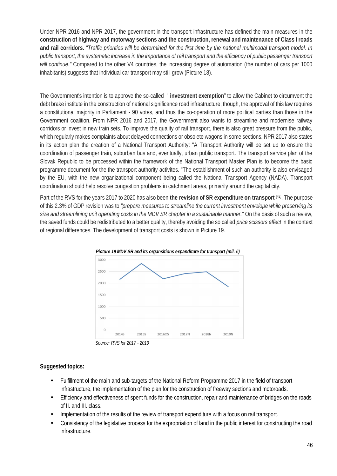Under NPR 2016 and NPR 2017, the government in the transport infrastructure has defined the main measures in the **construction of highway and motorway sections and the construction, renewal and maintenance of Class I roads and rail corridors.** *"Traffic priorities will be determined for the first time by the national multimodal transport model. In public transport, the systematic increase in the importance of rail transport and the efficiency of public passenger transport will continue."* Compared to the other V4 countries, the increasing degree of automation (the number of cars per 1000 inhabitants) suggests that individual car transport may still grow (Picture 18).

The Government's intention is to approve the so-called " **investment exemption**" to allow the Cabinet to circumvent the debt brake institute in the construction of national significance road infrastructure; though, the approval of this law requires a constitutional majority in Parliament - 90 votes, and thus the co-operation of more political parties than those in the Government coalition. From NPR 2016 and 2017, the Government also wants to streamline and modernise railway corridors or invest in new train sets. To improve the quality of rail transport, there is also great pressure from the public, which regularly makes complaints about delayed connections or obsolete wagons in some sections. NPR 2017 also states in its action plan the creation of a National Transport Authority: "A Transport Authority will be set up to ensure the coordination of passenger train, suburban bus and, eventually, urban public transport. The transport service plan of the Slovak Republic to be processed within the framework of the National Transport Master Plan is to become the basic programme document for the the transport authority activites. "The establishment of such an authority is also envisaged by the EU, with the new organizational component being called the National Transport Agency (NADA). Transport coordination should help resolve congestion problems in catchment areas, primarily around the capital city.

Part of the RVS for the years 2017 to 2020 has also been **the revision of SR expenditure on transport** [42]. The purpose of this 2.3% of GDP revision was to *"prepare measures to streamline the current investment envelope while preserving its size and streamlining unit operating costs in the MDV SR chapter in a sustainable manner."* On the basis of such a review, the saved funds could be redistributed to a better quality, thereby avoiding the so called *price scissors effect* in the context of regional differences. The development of transport costs is shown in Picture 19.



*Source: RVS for 2017 - 2019*

**Suggested topics:**

- Fulfillment of the main and sub-targets of the National Reform Programme 2017 in the field of transport infrastructure, the implementation of the plan for the construction of freeway sections and motoroads.
- Efficiency and effectiveness of spent funds for the construction, repair and maintenance of bridges on the roads t. of II. and III. class.
- Implementation of the results of the review of transport expenditure with a focus on rail transport.
- Consistency of the legislative process for the expropriation of land in the public interest for constructing the road infrastructure.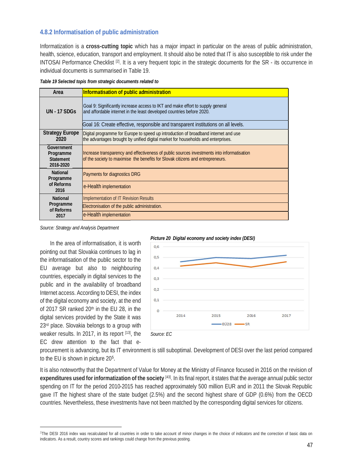## **4.8.2 Informatisation of public administration**

Informatization is a **cross-cutting topic** which has a major impact in particular on the areas of public administration, health, science, education, transport and employment. It should also be noted that IT is also susceptible to risk under the INTOSAI Performance Checklist<sup>[2]</sup>. It is a very frequent topic in the strategic documents for the SR - its occurrence in individual documents is summarised in Table 19.

*Table 19 Selected topis from strategic documents related to*

| Area                                                     | Informatisation of public administration                                                                                                                                     |
|----------------------------------------------------------|------------------------------------------------------------------------------------------------------------------------------------------------------------------------------|
| $UN - 17$ SDGs                                           | Goal 9: Significantly increase access to IKT and make effort to supply general<br>and affordable internet in the least developed countries before 2020.                      |
|                                                          | Goal 16: Create effective, responsible and transparent institutions on all levels.                                                                                           |
| <b>Strategy Europe</b><br>2020                           | Digital programme for Europe to speed up introduction of broadband internet and use<br>the advantages brought by unified digital market for households and enterprises.      |
| Government<br>Programme<br><b>Statement</b><br>2016-2020 | Increase transparency and effectiveness of public sources investments into informatisation<br>of the society to maximise the benefits for Slovak citizens and entrepreneurs. |
| <b>National</b><br>Programme                             | Payments for diagnostics DRG                                                                                                                                                 |
| of Reforms<br>2016                                       | e-Health implementation                                                                                                                                                      |
| National                                                 | Implementation of IT Revision Results                                                                                                                                        |
| Programme<br>of Reforms                                  | Electronisation of the public administration.                                                                                                                                |
| 2017                                                     | e-Health implementation                                                                                                                                                      |

*Source: Strategy and Analysis Department*

In the area of informatisation, it is worth pointing out that Slovakia continues to lag in the informatisation of the public sector to the EU average but also to neighbouring countries, especially in digital services to the public and in the availability of broadband Internet access. According to DESI, the index of the digital economy and society, at the end of 2017 SR ranked 20<sup>th</sup> in the EU 28, in the digital services provided by the State it was 23<sup>rd</sup> place. Slovakia belongs to a group with weaker results. In 2017, in its report [13], the EC drew attention to the fact that e-



*Source: EC*

procurement is advancing, but its IT environment is still suboptimal. Development of DESI over the last period compared to the EU is shown in picture 20<sup>5</sup>.

It is also noteworthy that the Department of Value for Money at the Ministry of Finance focused in 2016 on the revision of **expenditures used for informatization of the society** [43]. In its final report, it states that the average annual public sector spending on IT for the period 2010-2015 has reached approximately 500 million EUR and in 2011 the Slovak Republic gave IT the highest share of the state budget (2.5%) and the second highest share of GDP (0.6%) from the OECD countries. Nevertheless, these investments have not been matched by the corresponding digital services for citizens.

*<sup>5</sup>*The DESI 2016 index was recalculated for all countries in order to take account of minor changes in the choice of indicators and the correction of basic data on indicators. As a result, country scores and rankings could change from the previous posting.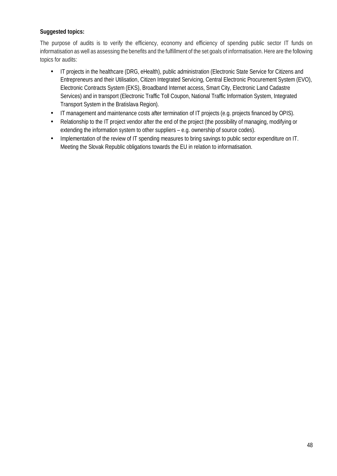#### **Suggested topics:**

The purpose of audits is to verify the efficiency, economy and efficiency of spending public sector IT funds on informatisation as well as assessing the benefits and the fulfillment of the set goals of informatisation. Here are the following topics for audits:

- IT projects in the healthcare (DRG, eHealth), public administration (Electronic State Service for Citizens and Ÿ, Entrepreneurs and their Utilisation, Citizen Integrated Servicing, Central Electronic Procurement System (EVO), Electronic Contracts System (EKS), Broadband Internet access, Smart City, Electronic Land Cadastre Services) and in transport (Electronic Traffic Toll Coupon, National Traffic Information System, Integrated Transport System in the Bratislava Region).
- IT management and maintenance costs after termination of IT projects (e.g. projects financed by OPIS). l,
- Relationship to the IT project vendor after the end of the project (the possibility of managing, modifying or l, extending the information system to other suppliers – e.g. ownership of source codes).
- ÷. Implementation of the review of IT spending measures to bring savings to public sector expenditure on IT. Meeting the Slovak Republic obligations towards the EU in relation to informatisation.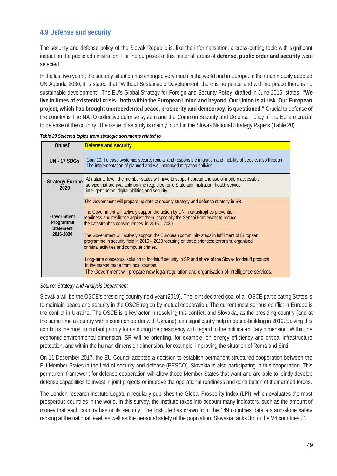# **4.9 Defense and security**

The security and defense policy of the Slovak Republic is, like the informatisation, a cross-cutting topic with significant impact on the public administration. For the purposes of this material, areas of **defense, public order and security** were selected.

In the last two years, the security situation has changed very much in the world and in Europe. In the unanimously adopted UN Agenda 2030, it is stated that "Without Sustainable Development, there is no peace and with no peace there is no sustainable development". The EU's Global Strategy for Foreign and Security Policy, drafted in June 2016, states, **"We live in times of existential crisis - both within the European Union and beyond. Our Union is at risk. Our European project, which has brought unprecedented peace, prosperity and democracy, is questioned."** Crucial to defense of the country is The NATO collective defense system and the Common Security and Defense Policy of the EU are crucial to defense of the country. The issue of security is mainly found in the Slovak National Strategy Papers (Table 20).

| Oblast'                                                  | Defense and security                                                                                                                                                                                                                            |
|----------------------------------------------------------|-------------------------------------------------------------------------------------------------------------------------------------------------------------------------------------------------------------------------------------------------|
| $UN - 17$ SDGs                                           | Goal 10: To ease systemic, secure, regular and responsible migration and mobility of people, also through<br>The implementation of planned and well managed migration policies.                                                                 |
| <b>Strategy Europe</b><br>2020                           | At national level, the member states will have to support spread and use of modern accessible<br>service that are available on-line (e.g. electronic State administration, health service,<br>intelligent home, digital abilities and security. |
|                                                          | The Government will prepare up-date of security strategy and defense strategy in SR.                                                                                                                                                            |
| Government<br>Programme<br><b>Statement</b><br>2016-2020 | The Government will actively support the action by UN in catastrophes prevention,<br>readiness and resilience against them especially the Sendai Framework to reduce<br>the catastrophes consequences in 2015 - 2030.                           |
|                                                          | The Government will actively support the European community steps in fulfillment of European<br>programme in security field in 2015 - 2020 focusing on three priorities: terrorism, organised<br>criminal activities and computer crimes.       |
|                                                          | Long-term conceptual solution to foodstuff security in SR and share of the Slovak foodstuff products<br>In the market made from local sources.                                                                                                  |
|                                                          | The Government will prepare new legal regulation and organisation of intelligence services.                                                                                                                                                     |

| Table 20 Selected topics from strategic documents related to |  |  |  |
|--------------------------------------------------------------|--|--|--|
|                                                              |  |  |  |
|                                                              |  |  |  |

#### *Source: Strategy and Analysis Department*

Slovakia will be the OSCE's presiding country next year (2019). The joint declared goal of all OSCE participating States is to maintain peace and security in the OSCE region by mutual cooperation. The current most serious conflict in Europe is the conflict in Ukraine. The OSCE is a key actor in resolving this conflict, and Slovakia, as the presiding country (and at the same time a country with a common border with Ukraine), can significantly help in peace-building in 2019. Solving this conflict is the most important priority for us during the presidency with regard to the political-military dimension. Within the economic-environmental dimension, SR will be orienting, for example, on energy efficiency and critical infrastructure protection, and within the human dimension dimension, for example, improving the situation of Roma and Sinti.

On 11 December 2017, the EU Council adopted a decision to establish permanent structured cooperation between the EU Member States in the field of security and defense (PESCO). Slovakia is also participating in this cooperation. This permanent framework for defense cooperation will allow those Member States that want and are able to jointly develop defense capabilities to invest in joint projects or improve the operational readiness and contribution of their armed forces.

The London research institute Legatum regularly publishes the Global Prosperity Index (LPI), which evaluates the most prosperous countries in the world. In this survey, the Institute takes into account many indicators, such as the amount of money that each country has or its security. The Institute has drawn from the 149 countries data a stand-alone safety ranking at the national level, as well as the personal safety of the population. Slovakia ranks 3rd in the V4 countries [44].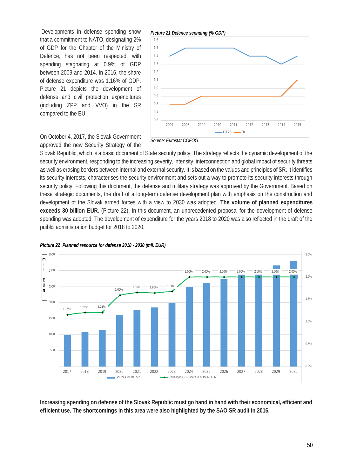Developments in defense spending show that a commitment to NATO, designating 2% of GDP for the Chapter of the Ministry of Defence, has not been respected, with spending stagnating at 0.9% of GDP between 2009 and 2014. In 2016, the share of defense expenditure was 1.16% of GDP. Picture 21 depicts the development of defense and civil protection expenditures (including ZPP and VVO) in the SR compared to the EU.



On October 4, 2017, the Slovak Government approved the new Security Strategy of the

Slovak Republic, which is a basic document of State security policy. The strategy reflects the dynamic development of the security environment, responding to the increasing severity, intensity, interconnection and global impact of security threats as well as erasing borders between internal and external security. It is based on the values and principles of SR. It identifies its security interests, characterises the security environment and sets out a way to promote its security interests through security policy. Following this document, the defense and military strategy was approved by the Government. Based on these strategic documents, the draft of a long-term defense development plan with emphasis on the construction and development of the Slovak armed forces with a view to 2030 was adopted. **The volume of planned expenditures exceeds 30 billion EUR**. (Picture 22). In this document, an unprecedented proposal for the development of defense spending was adopted. The development of expenditure for the years 2018 to 2020 was also reflected in the draft of the puiblci administration budget for 2018 to 2020.





**Increasing spending on defense of the Slovak Republic must go hand in hand with their economical, efficient and efficient use. The shortcomings in this area were also highlighted by the SAO SR audit in 2016.**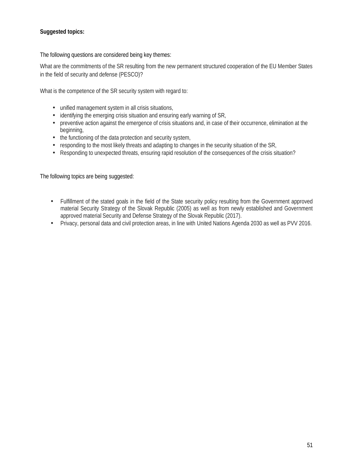**Suggested topics:**

The following questions are considered being key themes:

What are the commitments of the SR resulting from the new permanent structured cooperation of the EU Member States in the field of security and defense (PESCO)?

What is the competence of the SR security system with regard to:

- $\mathcal{L}^{\pm}$ unified management system in all crisis situations,
- identifying the emerging crisis situation and ensuring early warning of SR,  $\mathcal{L}_{\mathrm{max}}$
- preventive action against the emergence of crisis situations and, in case of their occurrence, elimination at the beginning,
- . the functioning of the data protection and security system,
- responding to the most likely threats and adapting to changes in the security situation of the SR,
- Responding to unexpected threats, ensuring rapid resolution of the consequences of the crisis situation?  $\mathcal{L}^{\pm}$

The following topics are being suggested:

- Fulfillment of the stated goals in the field of the State security policy resulting from the Government approved l, material Security Strategy of the Slovak Republic (2005) as well as from newly established and Government approved material Security and Defense Strategy of the Slovak Republic (2017).
- Privacy, personal data and civil protection areas, in line with United Nations Agenda 2030 as well as PVV 2016.ä,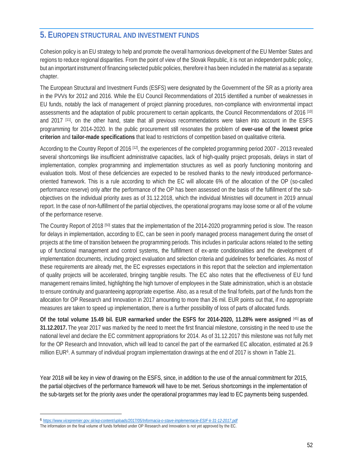# **5. EUROPEN STRUCTURAL AND INVESTMENT FUNDS**

Cohesion policy is an EU strategy to help and promote the overall harmonious development of the EU Member States and regions to reduce regional disparities. From the point of view of the Slovak Republic, it is not an independent public policy, but an important instrument of financing selected public policies, therefore it has been included in the material as a separate chapter.

The European Structural and Investment Funds (ESFS) were designated by the Government of the SR as a priority area in the PVVs for 2012 and 2016. While the EU Council Recommendations of 2015 identified a number of weaknesses in EU funds, notably the lack of management of project planning procedures, non-compliance with environmental impact assessments and the adaptation of public procurement to certain applicants, the Council Recommendations of 2016 [10] and 2017 [11], on the other hand, state that all previous recommendations were taken into account in the ESFS programming for 2014-2020. In the public procurement still resonates the problem of **over-use of the lowest price criterion** and **tailor-made specifications** that lead to restrictions of competition based on qualitative criteria.

According to the Country Report of 2016 [12], the experiences of the completed programming period 2007 - 2013 revealed several shortcomings like insufficient administrative capacities, lack of high-quality project proposals, delays in start of implementation, complex programming and implementation structures as well as poorly functioning monitoring and evaluation tools. Most of these deficiencies are expected to be resolved thanks to the newly introduced performanceoriented framework. This is a rule according to which the EC will allocate 6% of the allocation of the OP (so-called performance reserve) only after the performance of the OP has been assessed on the basis of the fulfillment of the subobjectives on the individual priority axes as of 31.12.2018, which the individual Ministries will document in 2019 annual report. In the case of non-fulfillment of the partial objectives, the operational programs may loose some or all of the volume of the performance reserve.

The Country Report of 2018 [50] states that the implementation of the 2014-2020 programming period is slow. The reason for delays in implementation, according to EC, can be seen in poorly managed process management during the onset of projects at the time of transition between the programming periods. This includes in particular actions related to the setting up of functional management and control systems, the fulfillment of ex-ante conditionalities and the development of implementation documents, including project evaluation and selection criteria and guidelines for beneficiaries. As most of these requirements are already met, the EC expresses expectations in this report that the selection and implementation of quality projects will be accelerated, bringing tangible results. The EC also notes that the effectiveness of EU fund management remains limited, highlighting the high turnover of employees in the State administration, which is an obstacle to ensure continuity and guaranteeing appropriate expertise. Also, as a result of the final forfeits, part of the funds from the allocation for OP Research and Innovation in 2017 amounting to more than 26 mil. EUR points out that, if no appropriate measures are taken to speed up implementation, there is a further possibility of loss of parts of allocated funds.

**Of the total volume 15.49 bil. EUR earmarked under the ESFS for 2014-2020, 11.28% were assigned** [45] **as of 31.12.2017.** The year 2017 was marked by the need to meet the first financial milestone, consisting in the need to use the national level and declare the EC commitment appropriations for 2014. As of 31.12.2017 this milestone was not fully met for the OP Research and Innovation, which will lead to cancel the part of the earmarked EC allocation, estimated at 26.9 million EUR<sup>6</sup>. A summary of individual program implementation drawings at the end of 2017 is shown in Table 21.

Year 2018 will be key in view of drawing on the ESFS, since, in addition to the use of the annual commitment for 2015, the partial objectives of the performance framework will have to be met. Serious shortcomings in the implementation of the sub-targets set for the priority axes under the operational programmes may lead to EC payments being suspended.

<sup>6</sup> *https://www.vicepremier.gov.sk/wp-content/uploads/2017/05/Informacia-o-stave-implementacie-ESIF-k-31-12-2017.pdf*

The information on the final volume of funds forfeited under OP Research and Innovation is not yet approved by the EC.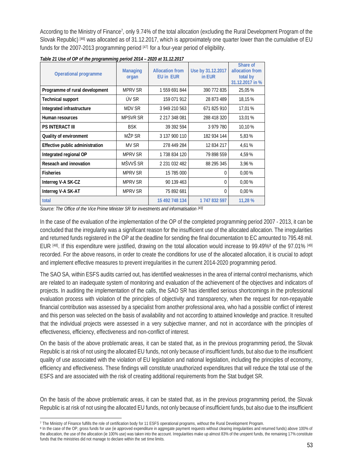According to the Ministry of Finance<sup>7</sup>, only 9.74% of the total allocation (excluding the Rural Development Program of the Slovak Republic) [46] was allocated as of 31.12.2017, which is approximately one quarter lower than the cumulative of EU funds for the 2007-2013 programming period  $[47]$  for a four-year period of eligibility.

| Operational programme           | Managing<br>organ | <b>Allocation from</b><br><b>EU</b> in EUR | Use by 31.12.2017<br>in EUR | Share of<br>allocation from<br>total by<br>31.12.2017 in % |
|---------------------------------|-------------------|--------------------------------------------|-----------------------------|------------------------------------------------------------|
| Programme of rural development  | <b>MPRV SR</b>    | 1559 691 844                               | 390 772 835                 | 25,05 %                                                    |
| Technical support               | ÚV SR             | 159 071 912                                | 28 873 489                  | 18,15%                                                     |
| Integrated infrastructure       | <b>MDV SR</b>     | 3 949 210 563                              | 671 825 910                 | 17,01%                                                     |
| Human resources                 | <b>MPSVR SR</b>   | 2 217 348 081                              | 288 418 320                 | 13,01%                                                     |
| <b>PS INTERACT III</b>          | <b>BSK</b>        | 39 392 594                                 | 3 979 780                   | 10,10%                                                     |
| Quality of environment          | MŽP SR            | 3 137 900 110                              | 182 934 144                 | 5,83%                                                      |
| Effective public administration | MV SR             | 278 449 284                                | 12 834 217                  | 4,61%                                                      |
| Integrated regional OP          | <b>MPRV SR</b>    | 1738 834 120                               | 79 898 559                  | 4,59%                                                      |
| Reseach and innovation          | MŠVVŠ SR          | 2 231 032 482                              | 88 295 345                  | 3,96%                                                      |
| <b>Fisheries</b>                | <b>MPRV SR</b>    | 15 785 000                                 | 0                           | 0,00%                                                      |
| Interreg V-A SK-CZ              | <b>MPRV SR</b>    | 90 139 463                                 | 0                           | 0,00%                                                      |
| Interreg V-A SK-AT              | <b>MPRV SR</b>    | 75 892 681                                 | 0                           | 0,00%                                                      |
| total                           | 15 492 748 134    | 1747832597                                 | 11,28 %                     |                                                            |

| Table 21 Use of OP of the programming period 2014 - 2020 at 31.12.2017 |  |
|------------------------------------------------------------------------|--|
|                                                                        |  |
|                                                                        |  |

*Source: The Office of the Vice Prime Minister SR for investments and informatisation [43]*

In the case of the evaluation of the implementation of the OP of the completed programming period 2007 - 2013, it can be concluded that the irregularity was a significant reason for the insufficient use of the allocated allocation. The irregularities and returned funds registered in the OP at the deadline for sending the final documentation to EC amounted to 795.48 mil. EUR [48]. If this expenditure were justified, drawing on the total allocation would increase to 99.49%<sup>8</sup> of the 97.01% [49] recorded. For the above reasons, in order to create the conditions for use of the allocated allocation, it is crucial to adopt and implement effective measures to prevent irregularities in the current 2014-2020 programming period.

The SAO SA, within ESFS audits carried out, has identified weaknesses in the area of internal control mechanisms, which are related to an inadequate system of monitoring and evaluation of the achievement of the objectives and indicators of projects. In auditing the implementation of the calls, the SAO SR has identified serious shortcomings in the professional evaluation process with violation of the principles of objectivity and transparency, when the request for non-repayable financial contribution was assessed by a specialist from another professional area, who had a possible conflict of interest and this person was selected on the basis of availability and not according to attained knowledge and practice. It resulted that the individual projects were assessed in a very subjective manner, and not in accordance with the principles of effectiveness, efficiency, effectiveness and non-conflict of interest.

On the basis of the above problematic areas, it can be stated that, as in the previous programming period, the Slovak Republic is at risk of not using the allocated EU funds, not only because of insufficient funds, but also due to the insufficient quality of use associated with the violation of EU legislation and national legislation, including the principles of economy, efficiency and effectiveness. These findings will constitute unauthorized expenditures that will reduce the total use of the ESFS and are associated with the risk of creating additional requirements from the Stat budget SR.

On the basis of the above problematic areas, it can be stated that, as in the previous programming period, the Slovak Republic is at risk of not using the allocated EU funds, not only because of insufficient funds, but also due to the insufficient

<sup>7</sup> The Ministry of Finance fulfills the role of certification body for 11 ESFS operational programs, without the Rural Development Program.

<sup>&</sup>lt;sup>8</sup> In the case of the OP, gross funds for use (ie approved expenditure in aggregate payment requests without clearing irregularities and returned funds) above 100% of the allocation, the use of the allocation (ie 100% use) was taken into the account. Irregularities make up almost 83% of the unspent funds, the remaining 17% constitute funds that the ministries did not manage to declare within the set time limits.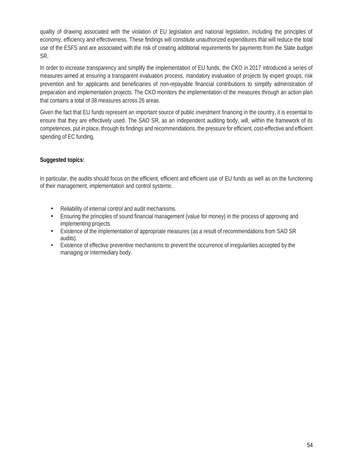quality of drawing associated with the violation of EU legislation and national legislation, including the principles of economy, efficiency and effectiveness. These findings will constitute unauthorized expenditures that will reduce the total use of the ESFS and are associated with the risk of creating additional requirements for payments from the State budget SR.

In order to increase transparency and simplify the implementation of EU funds, the CKO in 2017 introduced a series of measures aimed at ensuring a transparent evaluation process, mandatory evaluation of projects by expert groups, risk prevention and for applicants and beneficiaries of non-repayable financial contributions to simplify administration of preparation and implementation projects. The CKO monitors the implementation of the measures through an action plan that contains a total of 38 measures across 26 areas.

Given the fact that EU funds represent an important source of public investment financing in the country, it is essential to ensure that they are effectively used. The SAO SR, as an independent auditing body, will, within the framework of its competences, put in place, through its findings and recommendations, the pressure for efficient, cost-effective and efficient spending of EC funding.

#### **Suggested topics:**

In particular, the audits should focus on the efficient, efficient and efficient use of EU funds as well as on the functioning of their management, implementation and control systems:

- Reliability of internal control and audit mechanisms.  $\mathbf{r}$
- Ensuring the principles of sound financial management (value for money) in the process of approving and ÷. implementing projects.
- Existence of the implementation of appropriate measures (as a result of recommendations from SAO SR аń, audits).
- Existence of effective preventive mechanisms to prevent the occurrence of irregularities accepted by the Ŷ. managing or intermediary body.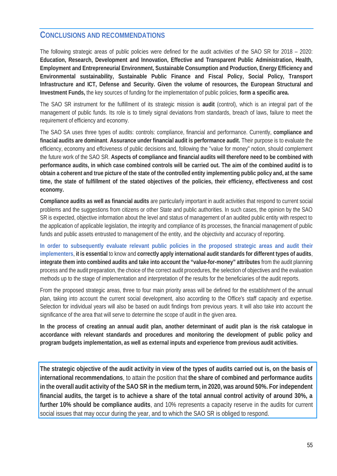## **CONCLUSIONS AND RECOMMENDATIONS**

The following strategic areas of public policies were defined for the audit activities of the SAO SR for 2018 – 2020: **Education, Research, Development and Innovation, Effective and Transparent Public Administration, Health, Employment and Entrepreneurial Environment, Sustainable Consumption and Production, Energy Efficiency and Environmental sustainability, Sustainable Public Finance and Fiscal Policy, Social Policy, Transport Infrastructure and ICT, Defense and Security. Given the volume of resources, the European Structural and Investment Funds,** the key sources of funding for the implementation of public policies, **form a specific area.**

The SAO SR instrument for the fulfillment of its strategic mission is **audit** (control), which is an integral part of the management of public funds. Its role is to timely signal deviations from standards, breach of laws, failure to meet the requirement of efficiency and economy.

The SAO SA uses three types of audits: controls: compliance, financial and performance. Currently, **compliance and finacial audits are dominant**. **Assurance under financial audit is performance audit.** Their purpose is to evaluate the efficiency, economy and effciveness of public decisions and, following the "value for money" notion, should complement the future work of the SAO SR. **Aspects of compliance and financial audits will therefore need to be combined with performance audits, in which case combined controls will be carried out. The aim of the combined auditd is to obtain a coherent and true picture of the state of the controlled entity implementing public policy and, at the same time, the state of fulfillment of the stated objectives of the policies, their efficiency, effectiveness and cost economy.**

**Compliance audits as well as financial audits** are particularly important in audit activities that respond to current social problems and the suggestions from citizens or other State and public authorities. In such cases, the opinion by the SAO SR is expected, objective information about the level and status of management of an audited public entity with respect to the application of applicable legislation, the integrity and compliance of its processes, the financial management of public funds and public assets entrusted to management of the entity, and the objectivity and accuracy of reporting.

**In order to subsequently evaluate relevant public policies in the proposed strategic areas and audit their implementers**, **it is essential** to know and **correctly apply international audit standards for different types of audits**, **integrate them into combined audits and take into account the "value-for-money" attributes** from the audit planning process and the audit preparation, the choice of the correct audit procedures, the selection of objectives and the evaluation methods up to the stage of implementation and interpretation of the results for the beneficiaries of the audit reports.

From the proposed strategic areas, three to four main priority areas will be defined for the establishment of the annual plan, taking into account the current social development, also according to the Office's staff capacity and expertise. Selection for individual years will also be based on audit findings from previous years. It will also take into account the significance of the area that will serve to determine the scope of audit in the given area.

**In the process of creating an annual audit plan, another determinant of audit plan is the risk catalogue in accordance with relevant standards and procedures and monitoring the development of public policy and program budgets implementation, as well as external inputs and experience from previous audit activities.**

**The strategic objective of the audit activity in view of the types of audits carried out is, on the basis of international recommendations**, to attain the position that **the share of combined and performance audits in the overall audit activity of the SAO SR in the medium term, in 2020, was around 50%. For independent financial audits, the target is to achieve a share of the total annual control activity of around 30%, a further 10% should be compliance audits**, and 10% represents a capacity reserve in the audits for current social issues that may occur during the year, and to which the SAO SR is obliged to respond.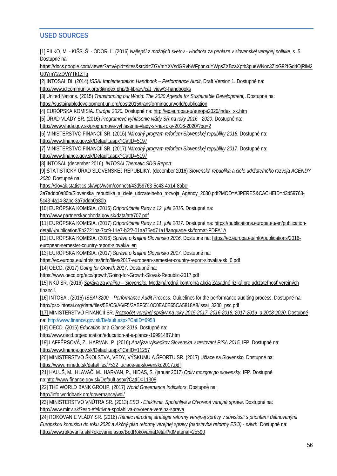# **USED SOURCES**

[1] FILKO, M. - KIŠS, Š. - ÓDOR, Ľ. (2016) *Najlepší z možných svetov - Hodnota za peniaze v slovenskej verejnej politike*, s. 5. Dostupné na:

https://docs.google.com/viewer?a=v&pid=sites&srcid=ZGVmYXVsdGRvbWFpbnxuYWpsZXBzaXptb3pueWNoc3ZldG92fGd4OjRiM2 U0YmY2ZDViYTk1ZTg

[2] INTOSAI IDI. (2014) *ISSAI Implementation Handbook – Performance Audit*, Draft Version 1. Dostupné na:

http://www.idicommunity.org/3i/index.php/3i-library/cat\_view/3-handbooks

[3] United Nations. (2015) *Transforming our World: The 2030 Agenda for Sustainable Development,*. Dostupné na: https://sustainabledevelopment.un.org/post2015/transformingourworld/publication

[4] EURÓPSKA KOMISIA. *Európa 2020*. Dostupné na: http://ec.europa.eu/europe2020/index\_sk.htm

[5] ÚRAD VLÁDY SR. (2016) *Programové vyhlásenie vlády SR na roky 2016 - 2020*. Dostupné na:

http://www.vlada.gov.sk/programove-vyhlasenie-vlady-sr-na-roky-2016-2020/?pg=2

[6] MINISTERSTVO FINANCIÍ SR. (2016) *Národný program reforiem Slovenskej republiky 2016*. Dostupné na: http://www.finance.gov.sk/Default.aspx?CatID=5197

[7] MINISTERSTVO FINANCIÍ SR. (2017) *Národný program reforiem Slovenskej republiky 2017*. Dostupné na: http://www.finance.gov.sk/Default.aspx?CatID=5197

[8] INTOSAI. (december 2016). *INTOSAI Thematic SDG Report*.

[9] ŠTATISTICKÝ ÚRAD SLOVENSKEJ REPUBLIKY. (december 2016) *Slovenská republika a ciele udržateľného rozvoja AGENDY 2030*. Dostupné na:

https://slovak.statistics.sk/wps/wcm/connect/43d59763-5c43-4a14-8abc-

3a7addb0a80b/Slovenska\_republika\_a\_ciele\_udrzatelneho\_rozvoja\_Agendy\_2030.pdf?MOD=AJPERES&CACHEID=43d59763- 5c43-4a14-8abc-3a7addb0a80b

[10] EURÓPSKA KOMISIA. (2016) *Odporúčanie Rady z 12. júla 2016*. Dostupné na:

http://www.partnerskadohoda.gov.sk/data/att/707.pdf

[11] EURÓPSKA KOMISIA. (2017) *Odporúčanie Rady z 11. júla 2017*. Dostupné na: https://publications.europa.eu/en/publicationdetail/-/publication/8b2221ba-7cc9-11e7-b2f2-01aa75ed71a1/language-sk/format-PDFA1A

[12] EURÓPSKA KOMISIA. (2016) *Správa o krajine Slovensko 2016*. Dostupné na: https://ec.europa.eu/info/publications/2016 european-semester-country-report-slovakia\_en

[13] EURÓPSKA KOMISIA. (2017) *Správa o krajine Slovensko 2017*. Dostupné na:

https://ec.europa.eu/info/sites/info/files/2017-european-semester-country-report-slovakia-sk\_0.pdf

[14] OECD. (2017) *Going for Growth 2017*. Dostupné na:

https://www.oecd.org/eco/growth/Going-for-Growth-Slovak-Republic-2017.pdf

[15] NKÚ SR. (2016) *Správa za krajinu – Slovensko.* Medzinárodná kontrolná akcia Zásadné riziká pre udržateľnosť verejných financií.

[16] INTOSAI. (2016) *ISSAI 3200 – Performance Audit Process*. Guidelines for the performance auditing process. Dostupné na: http://psc-intosai.org/data/files/5B/C5/A6/F5/3ABF6510C0EA0E65CA5818A8/issai\_3200\_psc.pdf

[17] MINISTERSTVO FINANCIÍ SR. *Rozpočet verejnej správy na roky 2015-2017, 2016-2018, 2017-2019 a 2018-2020*. Dostupné na: http://www.finance.gov.sk/Default.aspx?CatID=6958

[18] OECD. (2016) *Education at a Glance 2016*. Dostupné na:

http://www.oecd.org/education/education-at-a-glance-19991487.htm

[19] LAFFÉRSOVÁ, Z., HARVAN, P. (2016) *Analýza výsledkov Slovenska v testovaní PISA 2015*, IFP. Dostupné na: http://www.finance.gov.sk/Default.aspx?CatID=11257

[20] MINISTERSTVO ŠKOLSTVA, VEDY, VÝSKUMU A ŠPORTU SR. (2017) Učiace sa Slovensko. Dostupné na: https://www.minedu.sk/data/files/7532\_uciace-sa-slovensko2017.pdf

[21] HALUŠ, M., HLAVÁČ, M., HARVAN, P., HIDAS, S. (január 2017) *Odliv mozgov po slovensky*, IFP. Dostupné na:http://www.finance.gov.sk/Default.aspx?CatID=11308

[22] THE WORLD BANK GROUP. (2017) *World Governance Indicators*. Dostupné na:

http://info.worldbank.org/governance/wgi/

[23] MINISTERSTVO VNÚTRA SR. (2013) *ESO - Efektívna, Spoľahlivá a Otvorená verejná správa.* Dostupné na: http://www.minv.sk/?eso-efektivna-spolahliva-otvorena-verejna-sprava

[24] ROKOVANIE VLÁDY SR. (2016) *Rámec národnej stratégie reformy verejnej správy v súvislosti s prioritami definovanými Európskou komisiou do roku 2020 a Akčný plán reformy verejnej správy (nadstavba reformy ESO) - návrh*. Dostupné na: http://www.rokovania.sk/Rokovanie.aspx/BodRokovaniaDetail?idMaterial=25590